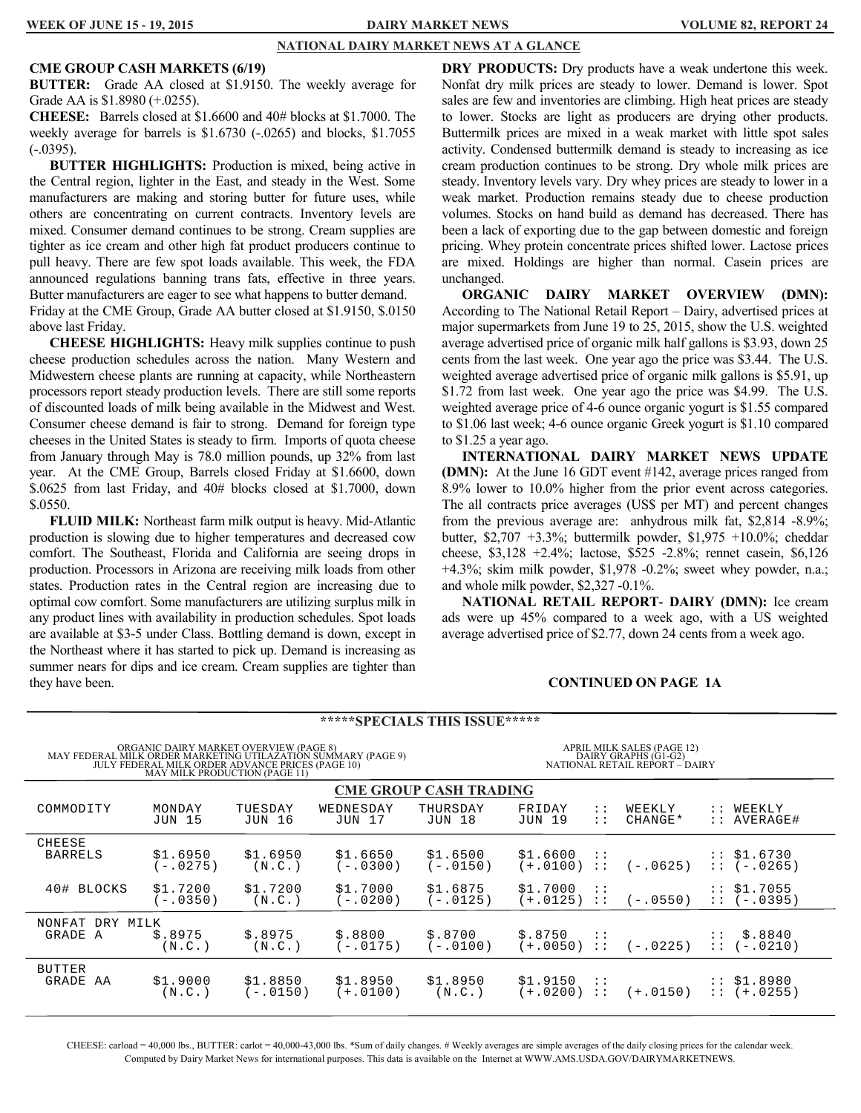#### **NATIONAL DAIRY MARKET NEWS AT A GLANCE**

#### **CME GROUP CASH MARKETS (6/19)**

**BUTTER:** Grade AA closed at \$1.9150. The weekly average for Grade AA is \$1.8980 (+.0255).

**CHEESE:** Barrels closed at \$1.6600 and 40# blocks at \$1.7000. The weekly average for barrels is \$1.6730 (-.0265) and blocks, \$1.7055  $(-0395)$ .

**BUTTER HIGHLIGHTS:** Production is mixed, being active in the Central region, lighter in the East, and steady in the West. Some manufacturers are making and storing butter for future uses, while others are concentrating on current contracts. Inventory levels are mixed. Consumer demand continues to be strong. Cream supplies are tighter as ice cream and other high fat product producers continue to pull heavy. There are few spot loads available. This week, the FDA announced regulations banning trans fats, effective in three years. Butter manufacturers are eager to see what happens to butter demand. Friday at the CME Group, Grade AA butter closed at \$1.9150, \$.0150 above last Friday.

**CHEESE HIGHLIGHTS:** Heavy milk supplies continue to push cheese production schedules across the nation. Many Western and Midwestern cheese plants are running at capacity, while Northeastern processors report steady production levels. There are still some reports of discounted loads of milk being available in the Midwest and West. Consumer cheese demand is fair to strong. Demand for foreign type cheeses in the United States is steady to firm. Imports of quota cheese from January through May is 78.0 million pounds, up 32% from last year. At the CME Group, Barrels closed Friday at \$1.6600, down \$.0625 from last Friday, and 40# blocks closed at \$1.7000, down \$.0550.

**FLUID MILK:** Northeast farm milk output is heavy. Mid-Atlantic production is slowing due to higher temperatures and decreased cow comfort. The Southeast, Florida and California are seeing drops in production. Processors in Arizona are receiving milk loads from other states. Production rates in the Central region are increasing due to optimal cow comfort. Some manufacturers are utilizing surplus milk in any product lines with availability in production schedules. Spot loads are available at \$3-5 under Class. Bottling demand is down, except in the Northeast where it has started to pick up. Demand is increasing as summer nears for dips and ice cream. Cream supplies are tighter than they have been.

**DRY PRODUCTS:** Dry products have a weak undertone this week. Nonfat dry milk prices are steady to lower. Demand is lower. Spot sales are few and inventories are climbing. High heat prices are steady to lower. Stocks are light as producers are drying other products. Buttermilk prices are mixed in a weak market with little spot sales activity. Condensed buttermilk demand is steady to increasing as ice cream production continues to be strong. Dry whole milk prices are steady. Inventory levels vary. Dry whey prices are steady to lower in a weak market. Production remains steady due to cheese production volumes. Stocks on hand build as demand has decreased. There has been a lack of exporting due to the gap between domestic and foreign pricing. Whey protein concentrate prices shifted lower. Lactose prices are mixed. Holdings are higher than normal. Casein prices are unchanged.

**ORGANIC DAIRY MARKET OVERVIEW (DMN):**  According to The National Retail Report – Dairy, advertised prices at major supermarkets from June 19 to 25, 2015, show the U.S. weighted average advertised price of organic milk half gallons is \$3.93, down 25 cents from the last week. One year ago the price was \$3.44. The U.S. weighted average advertised price of organic milk gallons is \$5.91, up \$1.72 from last week. One year ago the price was \$4.99. The U.S. weighted average price of 4-6 ounce organic yogurt is \$1.55 compared to \$1.06 last week; 4-6 ounce organic Greek yogurt is \$1.10 compared to \$1.25 a year ago.

**INTERNATIONAL DAIRY MARKET NEWS UPDATE (DMN):** At the June 16 GDT event #142, average prices ranged from 8.9% lower to 10.0% higher from the prior event across categories. The all contracts price averages (US\$ per MT) and percent changes from the previous average are: anhydrous milk fat, \$2,814 -8.9%; butter, \$2,707 +3.3%; buttermilk powder, \$1,975 +10.0%; cheddar cheese, \$3,128 +2.4%; lactose, \$525 -2.8%; rennet casein, \$6,126 +4.3%; skim milk powder, \$1,978 -0.2%; sweet whey powder, n.a.; and whole milk powder, \$2,327 -0.1%.

**NATIONAL RETAIL REPORT- DAIRY (DMN):** Ice cream ads were up 45% compared to a week ago, with a US weighted average advertised price of \$2.77, down 24 cents from a week ago.

#### **CONTINUED ON PAGE 1A**

|                                                                                                                                                                                                                                                                                      | <b>*****SPECIALS THIS ISSUE*****</b> |                          |                            |                               |                           |                                             |                   |                                                          |
|--------------------------------------------------------------------------------------------------------------------------------------------------------------------------------------------------------------------------------------------------------------------------------------|--------------------------------------|--------------------------|----------------------------|-------------------------------|---------------------------|---------------------------------------------|-------------------|----------------------------------------------------------|
| ORGANIC DAIRY MARKET OVERVIEW (PAGE 8)<br>MAY FEDERAL MILK ORDER MARKETING UTILAZATION SUMMARY (PAGE 9)<br>JULY FEDERAL MILK ORDER ADVANCE PRICES (PAGE 10)<br>APRIL MILK SALES (PAGE 12)<br>DAIRY GRAPHS (G1-G2)<br>NATIONAL RETAIL REPORT – DAIRY<br>MAY MILK PRODUCTION (PAGE 11) |                                      |                          |                            |                               |                           |                                             |                   |                                                          |
|                                                                                                                                                                                                                                                                                      |                                      |                          |                            | <b>CME GROUP CASH TRADING</b> |                           |                                             |                   |                                                          |
| COMMODITY                                                                                                                                                                                                                                                                            | MONDAY<br><b>JUN 15</b>              | TUESDAY<br><b>JUN 16</b> | WEDNESDAY<br><b>JUN 17</b> | THURSDAY<br><b>JUN 18</b>     | FRIDAY<br><b>JUN 19</b>   | $\mathbb{R}^{\mathbb{Z}}$<br>$\mathbb{R}^n$ | WEEKLY<br>CHANGE* | WEEKLY<br>$\mathbb{R}^{\mathbb{Z}}$<br>:: AVERAGE#       |
| CHEESE<br><b>BARRELS</b>                                                                                                                                                                                                                                                             | \$1.6950<br>$(-.0275)$               | \$1.6950<br>(N.C.)       | \$1.6650<br>$(-.0300)$     | \$1.6500<br>$(-.0150)$        | \$1.6600<br>$(+.0100) ::$ | $\cdot$ :                                   | $(-.0625)$        | $:$ \$1.6730<br>$: (-.0265)$                             |
| 40# BLOCKS                                                                                                                                                                                                                                                                           | \$1.7200<br>$(-.0350)$               | \$1.7200<br>(N.C.)       | \$1.7000<br>$(-.0200)$     | \$1.6875<br>(-.0125)          | \$1.7000<br>$(+.0125) ::$ | - 11                                        | $(-.0550)$        | $:$ $$1.7055$<br>$: (-0395)$                             |
| NONFAT<br>DRY MILK<br>GRADE A                                                                                                                                                                                                                                                        | \$.8975<br>(N.C. )                   | \$.8975<br>(N.C. )       | \$.8800<br>$(-.0175)$      | \$.8700<br>$-.0100)$          | \$.8750<br>$(+.0050) ::$  | $\cdot$ :                                   | (-.0225)          | \$.8840<br>$\mathcal{L}$<br>$(-.0210)$<br>$\mathbb{R}^n$ |
| <b>BUTTER</b><br>GRADE AA                                                                                                                                                                                                                                                            | \$1.9000<br>(N.C.)                   | \$1.8850<br>(-.0150)     | \$1.8950<br>$(+.0100)$     | \$1.8950<br>(N.C.)            | \$1,9150<br>$(+.0200) ::$ | $\cdot$ :                                   | (+.0150)          | $:$ \$1.8980<br>$::(+.0255)$                             |

CHEESE: carload = 40,000 lbs., BUTTER: carlot = 40,000-43,000 lbs. \*Sum of daily changes. # Weekly averages are simple averages of the daily closing prices for the calendar week. Computed by Dairy Market News for international purposes. This data is available on the Internet at WWW.AMS.USDA.GOV/DAIRYMARKETNEWS.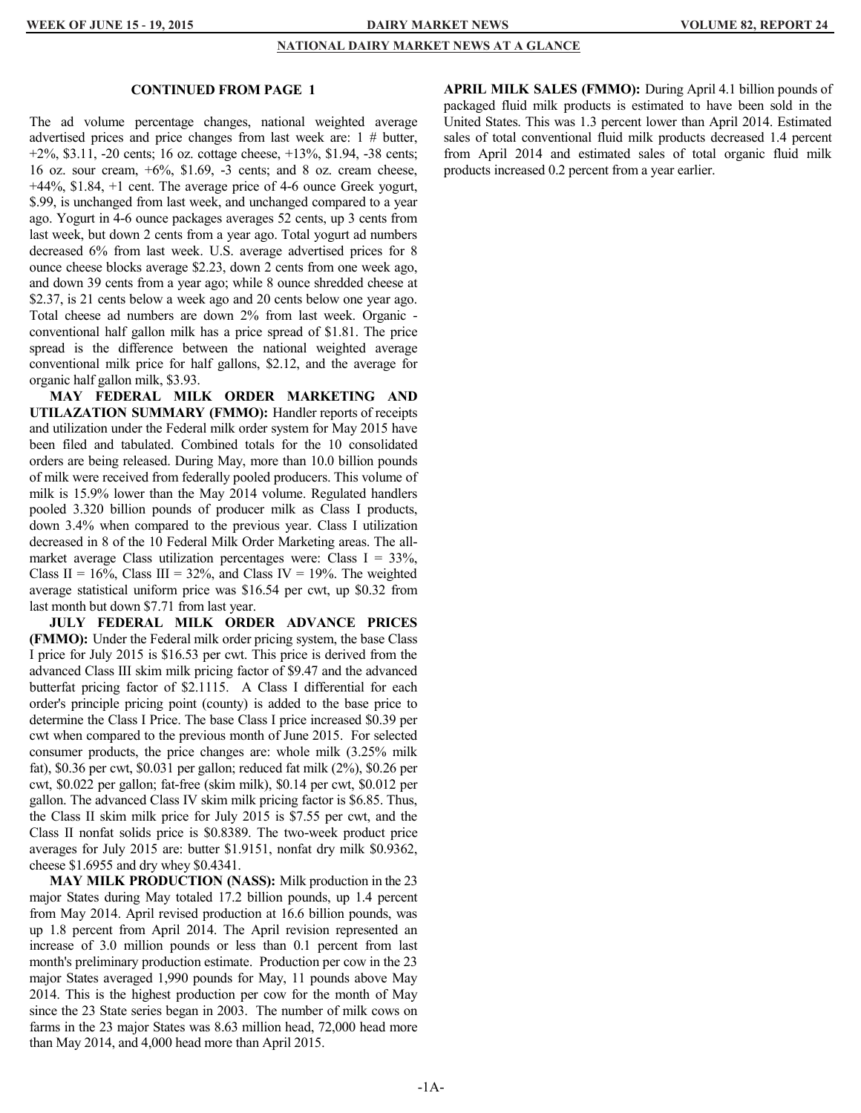#### **NATIONAL DAIRY MARKET NEWS AT A GLANCE**

#### **CONTINUED FROM PAGE 1**

The ad volume percentage changes, national weighted average advertised prices and price changes from last week are: 1 # butter, +2%, \$3.11, -20 cents; 16 oz. cottage cheese, +13%, \$1.94, -38 cents; 16 oz. sour cream, +6%, \$1.69, -3 cents; and 8 oz. cream cheese, +44%, \$1.84, +1 cent. The average price of 4-6 ounce Greek yogurt, \$.99, is unchanged from last week, and unchanged compared to a year ago. Yogurt in 4-6 ounce packages averages 52 cents, up 3 cents from last week, but down 2 cents from a year ago. Total yogurt ad numbers decreased 6% from last week. U.S. average advertised prices for 8 ounce cheese blocks average \$2.23, down 2 cents from one week ago, and down 39 cents from a year ago; while 8 ounce shredded cheese at \$2.37, is 21 cents below a week ago and 20 cents below one year ago. Total cheese ad numbers are down 2% from last week. Organic conventional half gallon milk has a price spread of \$1.81. The price spread is the difference between the national weighted average conventional milk price for half gallons, \$2.12, and the average for organic half gallon milk, \$3.93.

**MAY FEDERAL MILK ORDER MARKETING AND UTILAZATION SUMMARY (FMMO):** Handler reports of receipts and utilization under the Federal milk order system for May 2015 have been filed and tabulated. Combined totals for the 10 consolidated orders are being released. During May, more than 10.0 billion pounds of milk were received from federally pooled producers. This volume of milk is 15.9% lower than the May 2014 volume. Regulated handlers pooled 3.320 billion pounds of producer milk as Class I products, down 3.4% when compared to the previous year. Class I utilization decreased in 8 of the 10 Federal Milk Order Marketing areas. The allmarket average Class utilization percentages were: Class  $I = 33\%$ , Class II =  $16\%$ , Class III =  $32\%$ , and Class IV =  $19\%$ . The weighted average statistical uniform price was \$16.54 per cwt, up \$0.32 from last month but down \$7.71 from last year.

**JULY FEDERAL MILK ORDER ADVANCE PRICES (FMMO):** Under the Federal milk order pricing system, the base Class I price for July 2015 is \$16.53 per cwt. This price is derived from the advanced Class III skim milk pricing factor of \$9.47 and the advanced butterfat pricing factor of \$2.1115. A Class I differential for each order's principle pricing point (county) is added to the base price to determine the Class I Price. The base Class I price increased \$0.39 per cwt when compared to the previous month of June 2015. For selected consumer products, the price changes are: whole milk (3.25% milk fat), \$0.36 per cwt, \$0.031 per gallon; reduced fat milk (2%), \$0.26 per cwt, \$0.022 per gallon; fat-free (skim milk), \$0.14 per cwt, \$0.012 per gallon. The advanced Class IV skim milk pricing factor is \$6.85. Thus, the Class II skim milk price for July 2015 is \$7.55 per cwt, and the Class II nonfat solids price is \$0.8389. The two-week product price averages for July 2015 are: butter \$1.9151, nonfat dry milk \$0.9362, cheese \$1.6955 and dry whey \$0.4341.

**MAY MILK PRODUCTION (NASS):** Milk production in the 23 major States during May totaled 17.2 billion pounds, up 1.4 percent from May 2014. April revised production at 16.6 billion pounds, was up 1.8 percent from April 2014. The April revision represented an increase of 3.0 million pounds or less than 0.1 percent from last month's preliminary production estimate. Production per cow in the 23 major States averaged 1,990 pounds for May, 11 pounds above May 2014. This is the highest production per cow for the month of May since the 23 State series began in 2003. The number of milk cows on farms in the 23 major States was 8.63 million head, 72,000 head more than May 2014, and 4,000 head more than April 2015.

**APRIL MILK SALES (FMMO):** During April 4.1 billion pounds of packaged fluid milk products is estimated to have been sold in the United States. This was 1.3 percent lower than April 2014. Estimated sales of total conventional fluid milk products decreased 1.4 percent from April 2014 and estimated sales of total organic fluid milk products increased 0.2 percent from a year earlier.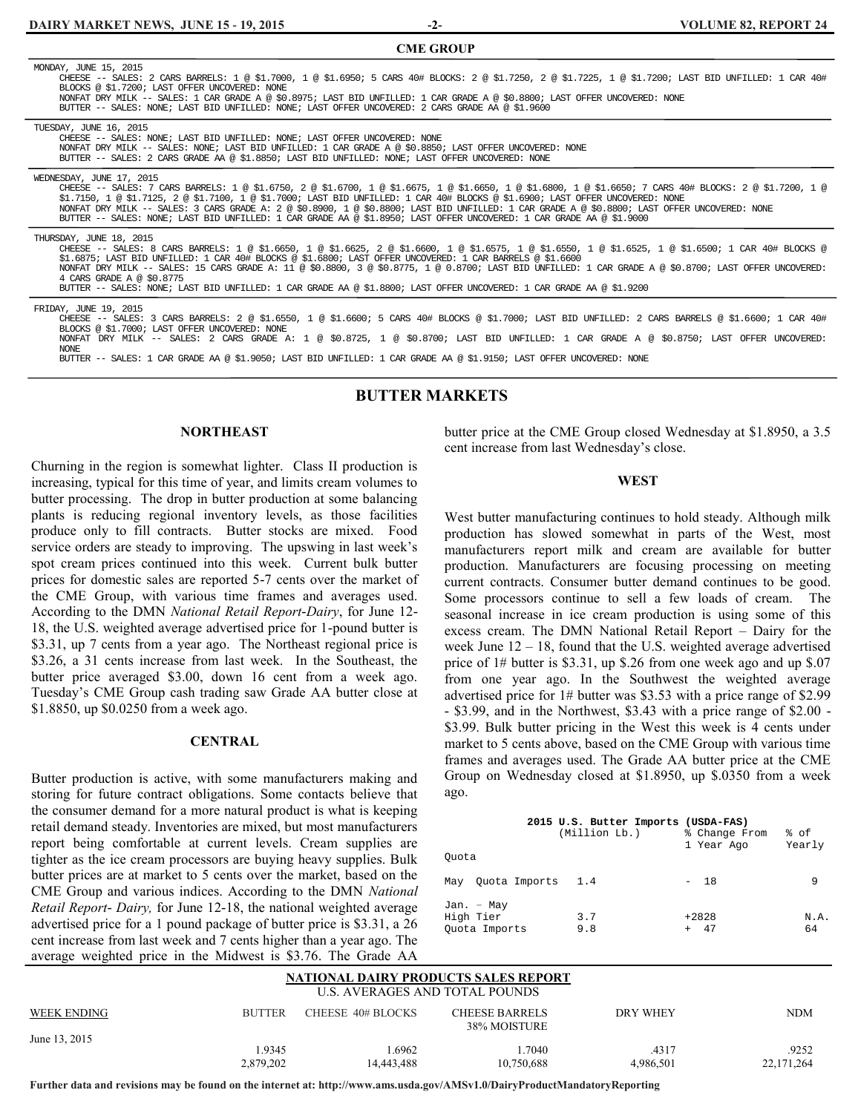**-2-**

| <b>CME GROUP</b>                                                                                                                                                                                                                                                                                                                                                                                                                                                                                                                                                                                            |
|-------------------------------------------------------------------------------------------------------------------------------------------------------------------------------------------------------------------------------------------------------------------------------------------------------------------------------------------------------------------------------------------------------------------------------------------------------------------------------------------------------------------------------------------------------------------------------------------------------------|
| MONDAY, JUNE 15, 2015<br>CHEESE -- SALES: 2 CARS BARRELS: 1 @ \$1.7000, 1 @ \$1.6950; 5 CARS 40# BLOCKS: 2 @ \$1.7250, 2 @ \$1.7225, 1 @ \$1.7200; LAST BID UNFILLED: 1 CAR 40#<br>BLOCKS @ \$1.7200; LAST OFFER UNCOVERED: NONE<br>NONFAT DRY MILK -- SALES: 1 CAR GRADE A @ \$0.8975; LAST BID UNFILLED: 1 CAR GRADE A @ \$0.8800; LAST OFFER UNCOVERED: NONE<br>BUTTER -- SALES: NONE; LAST BID UNFILLED: NONE; LAST OFFER UNCOVERED: 2 CARS GRADE AA @ \$1.9600                                                                                                                                         |
| TUESDAY, JUNE 16, 2015<br>CHEESE -- SALES: NONE; LAST BID UNFILLED: NONE; LAST OFFER UNCOVERED: NONE<br>NONFAT DRY MILK -- SALES: NONE; LAST BID UNFILLED: 1 CAR GRADE A @ \$0.8850; LAST OFFER UNCOVERED: NONE<br>BUTTER -- SALES: 2 CARS GRADE AA @ \$1.8850; LAST BID UNFILLED: NONE; LAST OFFER UNCOVERED: NONE                                                                                                                                                                                                                                                                                         |
| WEDNESDAY, JUNE 17, 2015<br>CHEESE -- SALES: 7 CARS BARRELS: 1 @ \$1.6750, 2 @ \$1.6700, 1 @ \$1.6675, 1 @ \$1.6650, 1 @ \$1.6800, 1 @ \$1.6650; 7 CARS 40# BLOCKS: 2 @ \$1.7200, 1 @<br>\$1.7150, 1 @ \$1.7125, 2 @ \$1.7100, 1 @ \$1.7000; LAST BID UNFILLED: 1 CAR 40# BLOCKS @ \$1.6900; LAST OFFER UNCOVERED: NONE<br>NONFAT DRY MILK -- SALES: 3 CARS GRADE A: 2 @ \$0.8900, 1 @ \$0.8800; LAST BID UNFILLED: 1 CAR GRADE A @ \$0.8800; LAST OFFER UNCOVERED: NONE<br>BUTTER -- SALES: NONE; LAST BID UNFILLED: 1 CAR GRADE AA @ \$1.8950; LAST OFFER UNCOVERED: 1 CAR GRADE AA @ \$1.9000            |
| THURSDAY, JUNE 18, 2015<br>CHEESE -- SALES: 8 CARS BARRELS: 1 @ \$1.6650, 1 @ \$1.6625, 2 @ \$1.6600, 1 @ \$1.6575, 1 @ \$1.6550, 1 @ \$1.6525, 1 @ \$1.6500; 1 CAR 40# BLOCKS @<br>\$1.6875; LAST BID UNFILLED: 1 CAR 40# BLOCKS @ \$1.6800; LAST OFFER UNCOVERED: 1 CAR BARRELS @ \$1.6600<br>NONFAT DRY MILK -- SALES: 15 CARS GRADE A: 11 @ \$0.8800, 3 @ \$0.8775, 1 @ 0.8700; LAST BID UNFILLED: 1 CAR GRADE A @ \$0.8700; LAST OFFER UNCOVERED:<br>4 CARS GRADE A @ \$0.8775<br>BUTTER -- SALES: NONE; LAST BID UNFILLED: 1 CAR GRADE AA @ \$1.8800; LAST OFFER UNCOVERED: 1 CAR GRADE AA @ \$1.9200 |
| FRIDAY, JUNE 19, 2015<br>CHEESE -- SALES: 3 CARS BARRELS: 2 @ \$1.6550, 1 @ \$1.6600; 5 CARS 40# BLOCKS @ \$1.7000; LAST BID UNFILLED: 2 CARS BARRELS @ \$1.6600; 1 CAR 40#<br>BLOCKS @ \$1.7000; LAST OFFER UNCOVERED: NONE<br>NONFAT DRY MILK -- SALES: 2 CARS GRADE A: 1 @ \$0.8725, 1 @ \$0.8700; LAST BID UNFILLED: 1 CAR GRADE A @ \$0.8750; LAST OFFER UNCOVERED:<br><b>NONE</b><br>BUTTER -- SALES: 1 CAR GRADE AA @ \$1.9050; LAST BID UNFILLED: 1 CAR GRADE AA @ \$1.9150; LAST OFFER UNCOVERED: NONE                                                                                             |

#### **BUTTER MARKETS**

#### **NORTHEAST**

Churning in the region is somewhat lighter. Class II production is increasing, typical for this time of year, and limits cream volumes to butter processing. The drop in butter production at some balancing plants is reducing regional inventory levels, as those facilities produce only to fill contracts. Butter stocks are mixed. Food service orders are steady to improving. The upswing in last week's spot cream prices continued into this week. Current bulk butter prices for domestic sales are reported 5-7 cents over the market of the CME Group, with various time frames and averages used. According to the DMN *National Retail Report-Dairy*, for June 12- 18, the U.S. weighted average advertised price for 1-pound butter is \$3.31, up 7 cents from a year ago. The Northeast regional price is \$3.26, a 31 cents increase from last week. In the Southeast, the butter price averaged \$3.00, down 16 cent from a week ago. Tuesday's CME Group cash trading saw Grade AA butter close at \$1.8850, up \$0.0250 from a week ago.

#### **CENTRAL**

Butter production is active, with some manufacturers making and storing for future contract obligations. Some contacts believe that the consumer demand for a more natural product is what is keeping retail demand steady. Inventories are mixed, but most manufacturers report being comfortable at current levels. Cream supplies are tighter as the ice cream processors are buying heavy supplies. Bulk butter prices are at market to 5 cents over the market, based on the CME Group and various indices. According to the DMN *National Retail Report- Dairy,* for June 12-18, the national weighted average advertised price for a 1 pound package of butter price is \$3.31, a 26 cent increase from last week and 7 cents higher than a year ago. The average weighted price in the Midwest is \$3.76. The Grade AA

butter price at the CME Group closed Wednesday at \$1.8950, a 3.5 cent increase from last Wednesday's close.

#### **WEST**

West butter manufacturing continues to hold steady. Although milk production has slowed somewhat in parts of the West, most manufacturers report milk and cream are available for butter production. Manufacturers are focusing processing on meeting current contracts. Consumer butter demand continues to be good. Some processors continue to sell a few loads of cream. The seasonal increase in ice cream production is using some of this excess cream. The DMN National Retail Report – Dairy for the week June 12 – 18, found that the U.S. weighted average advertised price of 1# butter is \$3.31, up \$.26 from one week ago and up \$.07 from one year ago. In the Southwest the weighted average advertised price for 1# butter was \$3.53 with a price range of \$2.99 - \$3.99, and in the Northwest, \$3.43 with a price range of \$2.00 - \$3.99. Bulk butter pricing in the West this week is 4 cents under market to 5 cents above, based on the CME Group with various time frames and averages used. The Grade AA butter price at the CME Group on Wednesday closed at \$1.8950, up \$.0350 from a week ago.

| Ouota                                    | 2015 U.S. Butter Imports (USDA-FAS)<br>(Million Lb.) | % Change From<br>l Year Ago | % of<br>Yearly |
|------------------------------------------|------------------------------------------------------|-----------------------------|----------------|
| May Ouota Imports 1.4                    |                                                      | $-18$                       | 9              |
| Jan. - May<br>High Tier<br>Ouota Imports | 3.7<br>9.8                                           | $+2828$<br>$+ 47$           | N.A.<br>64     |

#### **NATIONAL DAIRY PRODUCTS SALES REPORT** U.S. AVERAGES AND TOTAL POUNDS

| WEEK ENDING   | <b>BUTTER</b> | CHEESE 40# BLOCKS | <b>CHEESE BARRELS</b><br>38% MOISTURE | DRY WHEY  | <b>NDM</b> |
|---------------|---------------|-------------------|---------------------------------------|-----------|------------|
| June 13, 2015 |               |                   |                                       |           |            |
|               | .9345         | .6962             | .7040                                 | .4317     | 9252       |
|               | 2,879,202     | 14,443,488        | 10,750,688                            | 4.986.501 | 22,171,264 |

**Further data and revisions may be found on the internet at: http://www.ams.usda.gov/AMSv1.0/DairyProductMandatoryReporting**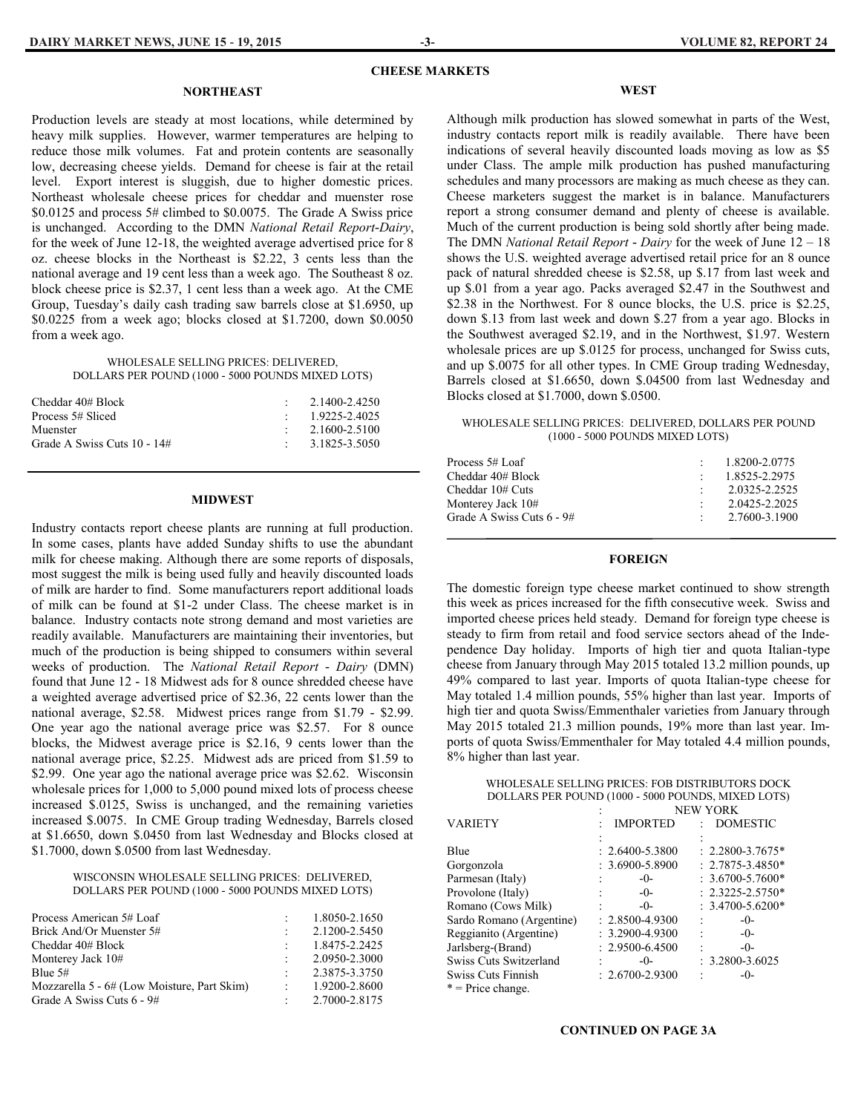#### **CHEESE MARKETS**

#### **NORTHEAST**

Production levels are steady at most locations, while determined by heavy milk supplies. However, warmer temperatures are helping to reduce those milk volumes. Fat and protein contents are seasonally low, decreasing cheese yields. Demand for cheese is fair at the retail level. Export interest is sluggish, due to higher domestic prices. Northeast wholesale cheese prices for cheddar and muenster rose \$0.0125 and process 5# climbed to \$0.0075. The Grade A Swiss price is unchanged. According to the DMN *National Retail Report-Dairy*, for the week of June 12-18, the weighted average advertised price for 8 oz. cheese blocks in the Northeast is \$2.22, 3 cents less than the national average and 19 cent less than a week ago. The Southeast 8 oz. block cheese price is \$2.37, 1 cent less than a week ago. At the CME Group, Tuesday's daily cash trading saw barrels close at \$1.6950, up \$0.0225 from a week ago; blocks closed at \$1.7200, down \$0.0050 from a week ago.

#### WHOLESALE SELLING PRICES: DELIVERED, DOLLARS PER POUND (1000 - 5000 POUNDS MIXED LOTS)

| Cheddar 40# Block           | 2.1400-2.4250              |
|-----------------------------|----------------------------|
| Process 5# Sliced           | 1.9225-2.4025              |
| Muenster                    | 2.1600-2.5100              |
| Grade A Swiss Cuts 10 - 14# | $\therefore$ 3.1825-3.5050 |

#### **MIDWEST**

Industry contacts report cheese plants are running at full production. In some cases, plants have added Sunday shifts to use the abundant milk for cheese making. Although there are some reports of disposals, most suggest the milk is being used fully and heavily discounted loads of milk are harder to find. Some manufacturers report additional loads of milk can be found at \$1-2 under Class. The cheese market is in balance. Industry contacts note strong demand and most varieties are readily available. Manufacturers are maintaining their inventories, but much of the production is being shipped to consumers within several weeks of production. The *National Retail Report - Dairy* (DMN) found that June 12 - 18 Midwest ads for 8 ounce shredded cheese have a weighted average advertised price of \$2.36, 22 cents lower than the national average, \$2.58. Midwest prices range from \$1.79 - \$2.99. One year ago the national average price was \$2.57. For 8 ounce blocks, the Midwest average price is \$2.16, 9 cents lower than the national average price, \$2.25. Midwest ads are priced from \$1.59 to \$2.99. One year ago the national average price was \$2.62. Wisconsin wholesale prices for 1,000 to 5,000 pound mixed lots of process cheese increased \$.0125, Swiss is unchanged, and the remaining varieties increased \$.0075. In CME Group trading Wednesday, Barrels closed at \$1.6650, down \$.0450 from last Wednesday and Blocks closed at \$1.7000, down \$.0500 from last Wednesday.

#### WISCONSIN WHOLESALE SELLING PRICES: DELIVERED, DOLLARS PER POUND (1000 - 5000 POUNDS MIXED LOTS)

| Process American 5# Loaf                    |        | 1.8050-2.1650 |
|---------------------------------------------|--------|---------------|
| Brick And/Or Muenster 5#                    |        | 2.1200-2.5450 |
| Cheddar 40# Block                           |        | 1.8475-2.2425 |
| Monterey Jack 10#                           |        | 2.0950-2.3000 |
| Blue $5#$                                   |        | 2.3875-3.3750 |
| Mozzarella 5 - 6# (Low Moisture, Part Skim) |        | 1.9200-2.8600 |
| Grade A Swiss Cuts 6 - 9#                   | $\sim$ | 2.7000-2.8175 |

#### **WEST**

Although milk production has slowed somewhat in parts of the West, industry contacts report milk is readily available. There have been indications of several heavily discounted loads moving as low as \$5 under Class. The ample milk production has pushed manufacturing schedules and many processors are making as much cheese as they can. Cheese marketers suggest the market is in balance. Manufacturers report a strong consumer demand and plenty of cheese is available. Much of the current production is being sold shortly after being made. The DMN *National Retail Report - Dairy* for the week of June 12 – 18 shows the U.S. weighted average advertised retail price for an 8 ounce pack of natural shredded cheese is \$2.58, up \$.17 from last week and up \$.01 from a year ago. Packs averaged \$2.47 in the Southwest and \$2.38 in the Northwest. For 8 ounce blocks, the U.S. price is \$2.25, down \$.13 from last week and down \$.27 from a year ago. Blocks in the Southwest averaged \$2.19, and in the Northwest, \$1.97. Western wholesale prices are up \$.0125 for process, unchanged for Swiss cuts, and up \$.0075 for all other types. In CME Group trading Wednesday, Barrels closed at \$1.6650, down \$.04500 from last Wednesday and Blocks closed at \$1.7000, down \$.0500.

#### WHOLESALE SELLING PRICES: DELIVERED, DOLLARS PER POUND (1000 - 5000 POUNDS MIXED LOTS)

| Process 5# Loaf           | 1.8200-2.0775 |
|---------------------------|---------------|
|                           |               |
| Cheddar 40# Block         | 1.8525-2.2975 |
| Cheddar 10# Cuts          | 2.0325-2.2525 |
| Monterey Jack 10#         | 2.0425-2.2025 |
| Grade A Swiss Cuts 6 - 9# | 2.7600-3.1900 |

#### **FOREIGN**

The domestic foreign type cheese market continued to show strength this week as prices increased for the fifth consecutive week. Swiss and imported cheese prices held steady. Demand for foreign type cheese is steady to firm from retail and food service sectors ahead of the Independence Day holiday. Imports of high tier and quota Italian-type cheese from January through May 2015 totaled 13.2 million pounds, up 49% compared to last year. Imports of quota Italian-type cheese for May totaled 1.4 million pounds, 55% higher than last year. Imports of high tier and quota Swiss/Emmenthaler varieties from January through May 2015 totaled 21.3 million pounds, 19% more than last year. Imports of quota Swiss/Emmenthaler for May totaled 4.4 million pounds, 8% higher than last year.

WHOLESALE SELLING PRICES: FOB DISTRIBUTORS DOCK DOLLARS PER POUND (1000 - 5000 POUNDS, MIXED LOTS)

|                          |                     | <b>NEW YORK</b>      |
|--------------------------|---------------------|----------------------|
| <b>VARIETY</b>           | <b>IMPORTED</b>     | : DOMESTIC           |
|                          |                     |                      |
| Blue                     | $: 2.6400 - 5.3800$ | $: 2.2800 - 3.7675*$ |
| Gorgonzola               | $: 3.6900 - 5.8900$ | $: 2.7875 - 3.4850*$ |
| Parmesan (Italy)         | $-0-$               | $: 3.6700 - 5.7600*$ |
| Provolone (Italy)        | $-()$               | $: 2.3225 - 2.5750*$ |
| Romano (Cows Milk)       | $-0-$               | : $3.4700 - 5.6200*$ |
| Sardo Romano (Argentine) | $: 2.8500 - 4.9300$ | $-0-$                |
| Reggianito (Argentine)   | $: 3.2900 - 4.9300$ | $-0-$                |
| Jarlsberg-(Brand)        | $: 2.9500 - 6.4500$ | $-0-$                |
| Swiss Cuts Switzerland   | $-0-$               | $: 3.2800 - 3.6025$  |
| Swiss Cuts Finnish       | $: 2.6700 - 2.9300$ | -0-                  |
| $*$ = Price change.      |                     |                      |

#### **CONTINUED ON PAGE 3A**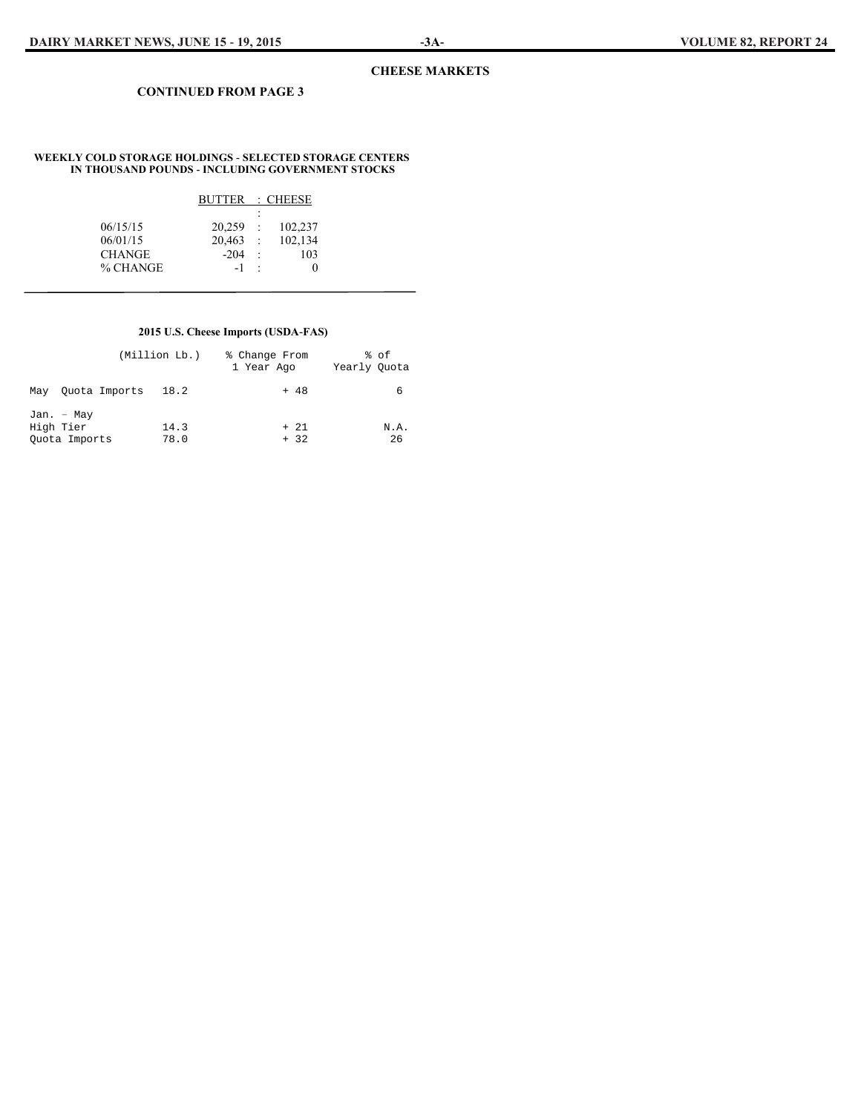#### **CHEESE MARKETS**

#### **CONTINUED FROM PAGE 3**

#### **WEEKLY COLD STORAGE HOLDINGS - SELECTED STORAGE CENTERS IN THOUSAND POUNDS - INCLUDING GOVERNMENT STOCKS**

|                      | BUTTER               |            | : CHEESE           |
|----------------------|----------------------|------------|--------------------|
|                      |                      | ٠<br>٠     |                    |
| 06/15/15<br>06/01/15 | $20.259$ :<br>20.463 | $\sim 100$ | 102,237<br>102,134 |
| <b>CHANGE</b>        | $-204$               | $\pm$      | 103                |
| % CHANGE             | $-1$                 | $\cdot$    | 0                  |

#### **2015 U.S. Cheese Imports (USDA-FAS)**

|           |                             | (Million Lb.) | % Change From<br>1 Year Ago |                | % of<br>Yearly Ouota |            |
|-----------|-----------------------------|---------------|-----------------------------|----------------|----------------------|------------|
| May       | Ouota Imports               | 18.2          |                             | $+ 48$         |                      | 6          |
| High Tier | Jan. - May<br>Ouota Imports | 14.3<br>78.0  |                             | $+21$<br>$+32$ |                      | N.A.<br>26 |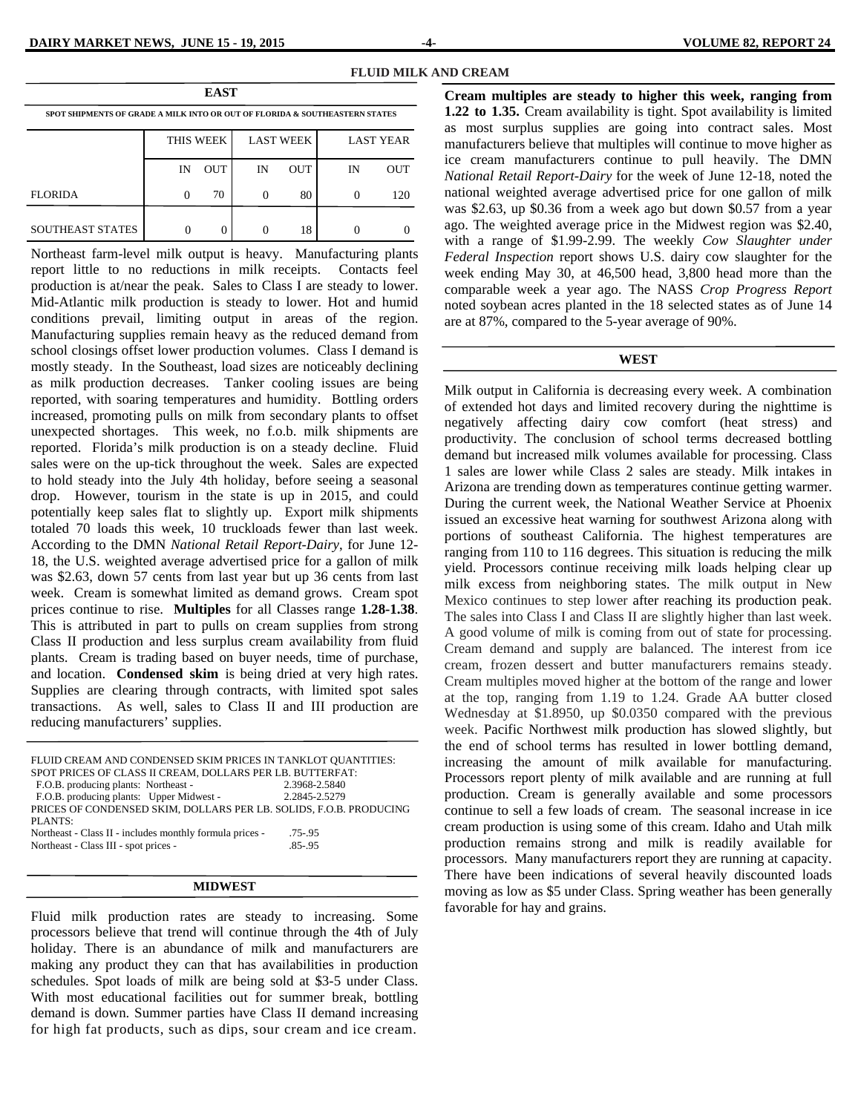| <b>EAST</b>                                                                 |          |            |    |                  |          |                  |
|-----------------------------------------------------------------------------|----------|------------|----|------------------|----------|------------------|
| SPOT SHIPMENTS OF GRADE A MILK INTO OR OUT OF FLORIDA & SOUTHEASTERN STATES |          |            |    |                  |          |                  |
|                                                                             |          | THIS WEEK  |    | <b>LAST WEEK</b> |          | <b>LAST YEAR</b> |
|                                                                             | IN       | <b>OUT</b> | IN | <b>OUT</b>       | IN       | OUT              |
| <b>FLORIDA</b>                                                              | $\Omega$ | 70         | 0  | 80               | $\theta$ | 120              |
| <b>SOUTHEAST STATES</b>                                                     |          |            |    | 18               |          |                  |

Northeast farm-level milk output is heavy. Manufacturing plants report little to no reductions in milk receipts. Contacts feel production is at/near the peak. Sales to Class I are steady to lower. Mid-Atlantic milk production is steady to lower. Hot and humid conditions prevail, limiting output in areas of the region. Manufacturing supplies remain heavy as the reduced demand from school closings offset lower production volumes. Class I demand is mostly steady. In the Southeast, load sizes are noticeably declining as milk production decreases. Tanker cooling issues are being reported, with soaring temperatures and humidity. Bottling orders increased, promoting pulls on milk from secondary plants to offset unexpected shortages. This week, no f.o.b. milk shipments are reported. Florida's milk production is on a steady decline. Fluid sales were on the up-tick throughout the week. Sales are expected to hold steady into the July 4th holiday, before seeing a seasonal drop. However, tourism in the state is up in 2015, and could potentially keep sales flat to slightly up. Export milk shipments totaled 70 loads this week, 10 truckloads fewer than last week. According to the DMN *National Retail Report-Dairy*, for June 12- 18, the U.S. weighted average advertised price for a gallon of milk was \$2.63, down 57 cents from last year but up 36 cents from last week. Cream is somewhat limited as demand grows. Cream spot prices continue to rise. **Multiples** for all Classes range **1.28-1.38**. This is attributed in part to pulls on cream supplies from strong Class II production and less surplus cream availability from fluid plants. Cream is trading based on buyer needs, time of purchase, and location. **Condensed skim** is being dried at very high rates. Supplies are clearing through contracts, with limited spot sales transactions. As well, sales to Class II and III production are reducing manufacturers' supplies.

| FLUID CREAM AND CONDENSED SKIM PRICES IN TANKLOT QUANTITIES:       |               |
|--------------------------------------------------------------------|---------------|
| SPOT PRICES OF CLASS II CREAM, DOLLARS PER LB. BUTTERFAT:          |               |
| F.O.B. producing plants: Northeast -                               | 2.3968-2.5840 |
| F.O.B. producing plants: Upper Midwest -                           | 2.2845-2.5279 |
| PRICES OF CONDENSED SKIM, DOLLARS PER LB. SOLIDS, F.O.B. PRODUCING |               |
| PLANTS:                                                            |               |
| Northeast - Class II - includes monthly formula prices -           | $.75 - .95$   |
| Northeast - Class III - spot prices -                              | $.85 - .95$   |
|                                                                    |               |

#### **MIDWEST**

Fluid milk production rates are steady to increasing. Some processors believe that trend will continue through the 4th of July holiday. There is an abundance of milk and manufacturers are making any product they can that has availabilities in production schedules. Spot loads of milk are being sold at \$3-5 under Class. With most educational facilities out for summer break, bottling demand is down. Summer parties have Class II demand increasing for high fat products, such as dips, sour cream and ice cream.

**Cream multiples are steady to higher this week, ranging from 1.22 to 1.35.** Cream availability is tight. Spot availability is limited as most surplus supplies are going into contract sales. Most manufacturers believe that multiples will continue to move higher as ice cream manufacturers continue to pull heavily. The DMN *National Retail Report-Dairy* for the week of June 12-18, noted the national weighted average advertised price for one gallon of milk was \$2.63, up \$0.36 from a week ago but down \$0.57 from a year ago. The weighted average price in the Midwest region was \$2.40, with a range of \$1.99-2.99. The weekly *Cow Slaughter under Federal Inspection* report shows U.S. dairy cow slaughter for the week ending May 30, at 46,500 head, 3,800 head more than the comparable week a year ago. The NASS *Crop Progress Report* noted soybean acres planted in the 18 selected states as of June 14 are at 87%, compared to the 5-year average of 90%.

#### **WEST**

Milk output in California is decreasing every week. A combination of extended hot days and limited recovery during the nighttime is negatively affecting dairy cow comfort (heat stress) and productivity. The conclusion of school terms decreased bottling demand but increased milk volumes available for processing. Class 1 sales are lower while Class 2 sales are steady. Milk intakes in Arizona are trending down as temperatures continue getting warmer. During the current week, the National Weather Service at Phoenix issued an excessive heat warning for southwest Arizona along with portions of southeast California. The highest temperatures are ranging from 110 to 116 degrees. This situation is reducing the milk yield. Processors continue receiving milk loads helping clear up milk excess from neighboring states. The milk output in New Mexico continues to step lower after reaching its production peak. The sales into Class I and Class II are slightly higher than last week. A good volume of milk is coming from out of state for processing. Cream demand and supply are balanced. The interest from ice cream, frozen dessert and butter manufacturers remains steady. Cream multiples moved higher at the bottom of the range and lower at the top, ranging from 1.19 to 1.24. Grade AA butter closed Wednesday at \$1.8950, up \$0.0350 compared with the previous week. Pacific Northwest milk production has slowed slightly, but the end of school terms has resulted in lower bottling demand, increasing the amount of milk available for manufacturing. Processors report plenty of milk available and are running at full production. Cream is generally available and some processors continue to sell a few loads of cream. The seasonal increase in ice cream production is using some of this cream. Idaho and Utah milk production remains strong and milk is readily available for processors. Many manufacturers report they are running at capacity. There have been indications of several heavily discounted loads moving as low as \$5 under Class. Spring weather has been generally favorable for hay and grains.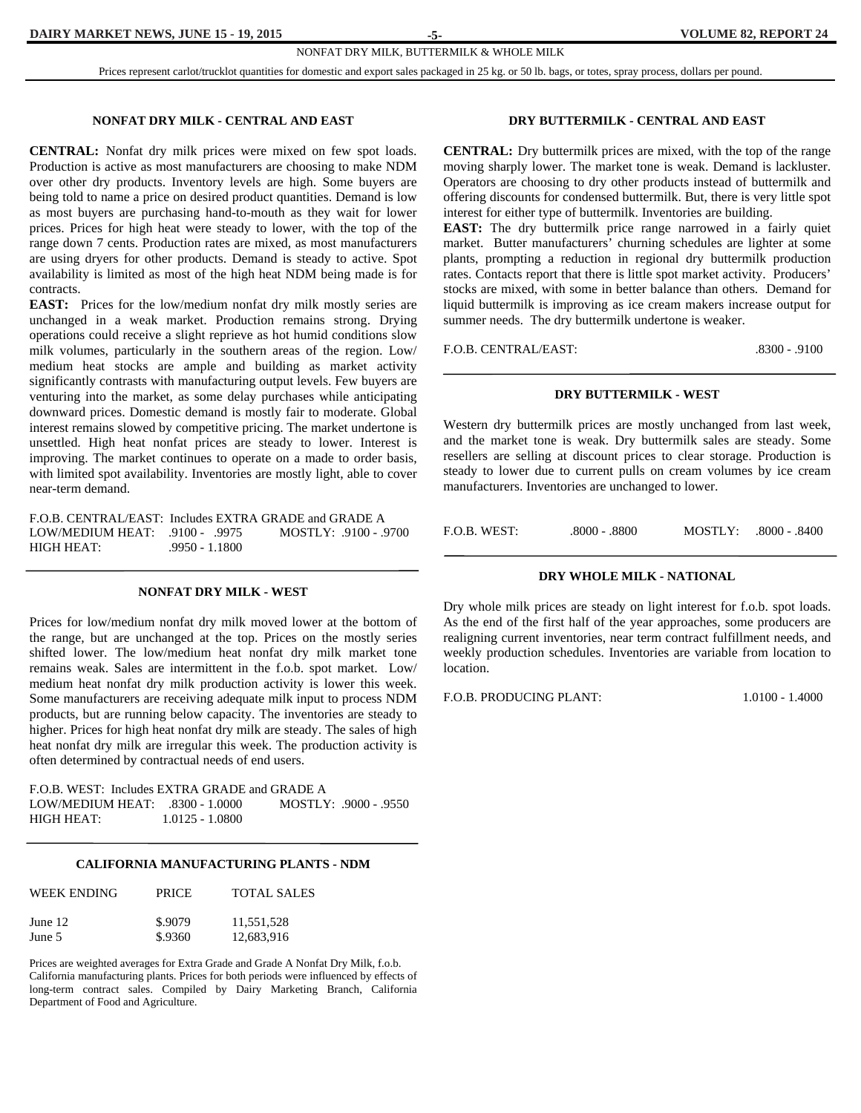Prices represent carlot/trucklot quantities for domestic and export sales packaged in 25 kg. or 50 lb. bags, or totes, spray process, dollars per pound.

**-5-** 

#### **NONFAT DRY MILK - CENTRAL AND EAST**

**CENTRAL:** Nonfat dry milk prices were mixed on few spot loads. Production is active as most manufacturers are choosing to make NDM over other dry products. Inventory levels are high. Some buyers are being told to name a price on desired product quantities. Demand is low as most buyers are purchasing hand-to-mouth as they wait for lower prices. Prices for high heat were steady to lower, with the top of the range down 7 cents. Production rates are mixed, as most manufacturers are using dryers for other products. Demand is steady to active. Spot availability is limited as most of the high heat NDM being made is for contracts.

**EAST:** Prices for the low/medium nonfat dry milk mostly series are unchanged in a weak market. Production remains strong. Drying operations could receive a slight reprieve as hot humid conditions slow milk volumes, particularly in the southern areas of the region. Low/ medium heat stocks are ample and building as market activity significantly contrasts with manufacturing output levels. Few buyers are venturing into the market, as some delay purchases while anticipating downward prices. Domestic demand is mostly fair to moderate. Global interest remains slowed by competitive pricing. The market undertone is unsettled. High heat nonfat prices are steady to lower. Interest is improving. The market continues to operate on a made to order basis, with limited spot availability. Inventories are mostly light, able to cover near-term demand.

F.O.B. CENTRAL/EAST: Includes EXTRA GRADE and GRADE A<br>LOW/MEDIUM HEAT: 9100 - 9975 MOSTLY: 9100 - 9700 LOW/MEDIUM HEAT: .9100 - .9975 HIGH HEAT: .9950 - 1.1800

#### **NONFAT DRY MILK - WEST**

Prices for low/medium nonfat dry milk moved lower at the bottom of the range, but are unchanged at the top. Prices on the mostly series shifted lower. The low/medium heat nonfat dry milk market tone remains weak. Sales are intermittent in the f.o.b. spot market. Low/ medium heat nonfat dry milk production activity is lower this week. Some manufacturers are receiving adequate milk input to process NDM products, but are running below capacity. The inventories are steady to higher. Prices for high heat nonfat dry milk are steady. The sales of high heat nonfat dry milk are irregular this week. The production activity is often determined by contractual needs of end users.

F.O.B. WEST: Includes EXTRA GRADE and GRADE A LOW/MEDIUM HEAT: .8300 - 1.0000 MOSTLY: .9000 - .9550 HIGH HEAT: 1.0125 - 1.0800

#### **CALIFORNIA MANUFACTURING PLANTS - NDM**

| WEEK ENDING | <b>PRICE</b> | <b>TOTAL SALES</b> |
|-------------|--------------|--------------------|
| June $12$   | \$.9079      | 11,551,528         |
| June 5      | \$.9360      | 12,683,916         |

Prices are weighted averages for Extra Grade and Grade A Nonfat Dry Milk, f.o.b. California manufacturing plants. Prices for both periods were influenced by effects of long-term contract sales. Compiled by Dairy Marketing Branch, California Department of Food and Agriculture.

#### **DRY BUTTERMILK - CENTRAL AND EAST**

**CENTRAL:** Dry buttermilk prices are mixed, with the top of the range moving sharply lower. The market tone is weak. Demand is lackluster. Operators are choosing to dry other products instead of buttermilk and offering discounts for condensed buttermilk. But, there is very little spot interest for either type of buttermilk. Inventories are building.

**EAST:** The dry buttermilk price range narrowed in a fairly quiet market. Butter manufacturers' churning schedules are lighter at some plants, prompting a reduction in regional dry buttermilk production rates. Contacts report that there is little spot market activity. Producers' stocks are mixed, with some in better balance than others. Demand for liquid buttermilk is improving as ice cream makers increase output for summer needs. The dry buttermilk undertone is weaker.

F.O.B. CENTRAL/EAST: .8300 - .9100

#### **DRY BUTTERMILK - WEST**

Western dry buttermilk prices are mostly unchanged from last week, and the market tone is weak. Dry buttermilk sales are steady. Some resellers are selling at discount prices to clear storage. Production is steady to lower due to current pulls on cream volumes by ice cream manufacturers. Inventories are unchanged to lower.

F.O.B. WEST: . .8000 - .8800 MOSTLY: .8000 - .8400

#### **DRY WHOLE MILK - NATIONAL**

Dry whole milk prices are steady on light interest for f.o.b. spot loads. As the end of the first half of the year approaches, some producers are realigning current inventories, near term contract fulfillment needs, and weekly production schedules. Inventories are variable from location to location.

F.O.B. PRODUCING PLANT: 1.0100 - 1.4000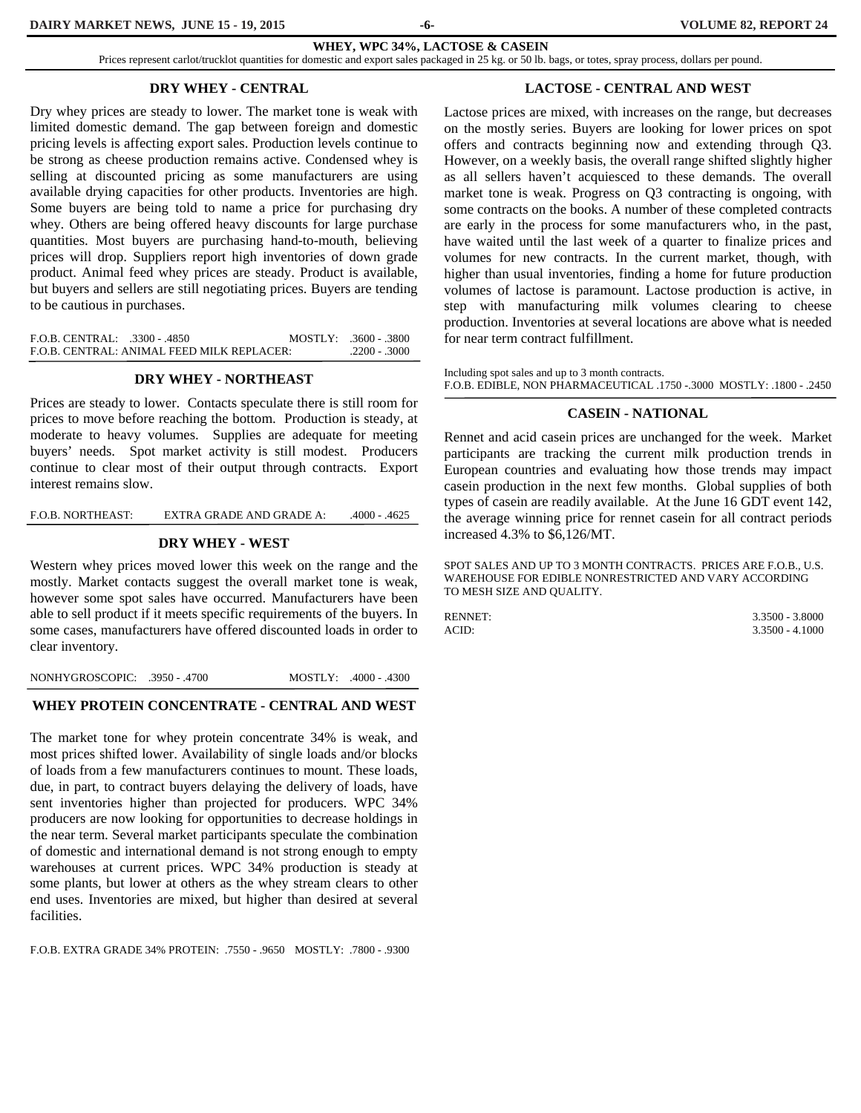**-6-** 

**WHEY, WPC 34%, LACTOSE & CASEIN**

Prices represent carlot/trucklot quantities for domestic and export sales packaged in 25 kg. or 50 lb. bags, or totes, spray process, dollars per pound.

#### **DRY WHEY - CENTRAL**

Dry whey prices are steady to lower. The market tone is weak with limited domestic demand. The gap between foreign and domestic pricing levels is affecting export sales. Production levels continue to be strong as cheese production remains active. Condensed whey is selling at discounted pricing as some manufacturers are using available drying capacities for other products. Inventories are high. Some buyers are being told to name a price for purchasing dry whey. Others are being offered heavy discounts for large purchase quantities. Most buyers are purchasing hand-to-mouth, believing prices will drop. Suppliers report high inventories of down grade product. Animal feed whey prices are steady. Product is available, but buyers and sellers are still negotiating prices. Buyers are tending to be cautious in purchases.

| $F.O.B. CENTRAL: 3300 - 4850$ |                                            | $MOSTLY: 3600 - 3800$ |
|-------------------------------|--------------------------------------------|-----------------------|
|                               | F.O.B. CENTRAL: ANIMAL FEED MILK REPLACER: | $.2200 - .3000$       |

#### **DRY WHEY - NORTHEAST**

Prices are steady to lower. Contacts speculate there is still room for prices to move before reaching the bottom. Production is steady, at moderate to heavy volumes. Supplies are adequate for meeting buyers' needs. Spot market activity is still modest. Producers continue to clear most of their output through contracts. Export interest remains slow.

F.O.B. NORTHEAST: EXTRA GRADE AND GRADE A: .4000 - .4625

#### **DRY WHEY - WEST**

Western whey prices moved lower this week on the range and the mostly. Market contacts suggest the overall market tone is weak, however some spot sales have occurred. Manufacturers have been able to sell product if it meets specific requirements of the buyers. In some cases, manufacturers have offered discounted loads in order to clear inventory.

NONHYGROSCOPIC: .3950 - .4700 MOSTLY: .4000 - .4300

#### **WHEY PROTEIN CONCENTRATE - CENTRAL AND WEST**

The market tone for whey protein concentrate 34% is weak, and most prices shifted lower. Availability of single loads and/or blocks of loads from a few manufacturers continues to mount. These loads, due, in part, to contract buyers delaying the delivery of loads, have sent inventories higher than projected for producers. WPC 34% producers are now looking for opportunities to decrease holdings in the near term. Several market participants speculate the combination of domestic and international demand is not strong enough to empty warehouses at current prices. WPC 34% production is steady at some plants, but lower at others as the whey stream clears to other end uses. Inventories are mixed, but higher than desired at several facilities.

F.O.B. EXTRA GRADE 34% PROTEIN: .7550 - .9650 MOSTLY: .7800 - .9300

#### **LACTOSE - CENTRAL AND WEST**

Lactose prices are mixed, with increases on the range, but decreases on the mostly series. Buyers are looking for lower prices on spot offers and contracts beginning now and extending through Q3. However, on a weekly basis, the overall range shifted slightly higher as all sellers haven't acquiesced to these demands. The overall market tone is weak. Progress on Q3 contracting is ongoing, with some contracts on the books. A number of these completed contracts are early in the process for some manufacturers who, in the past, have waited until the last week of a quarter to finalize prices and volumes for new contracts. In the current market, though, with higher than usual inventories, finding a home for future production volumes of lactose is paramount. Lactose production is active, in step with manufacturing milk volumes clearing to cheese production. Inventories at several locations are above what is needed for near term contract fulfillment.

Including spot sales and up to 3 month contracts. F.O.B. EDIBLE, NON PHARMACEUTICAL .1750 -.3000 MOSTLY: .1800 - .2450

#### **CASEIN - NATIONAL**

Rennet and acid casein prices are unchanged for the week. Market participants are tracking the current milk production trends in European countries and evaluating how those trends may impact casein production in the next few months. Global supplies of both types of casein are readily available. At the June 16 GDT event 142, the average winning price for rennet casein for all contract periods increased 4.3% to \$6,126/MT.

SPOT SALES AND UP TO 3 MONTH CONTRACTS. PRICES ARE F.O.B., U.S. WAREHOUSE FOR EDIBLE NONRESTRICTED AND VARY ACCORDING TO MESH SIZE AND QUALITY.

RENNET: 3.3500 - 3.8000 ACID: 3.3500 - 4.1000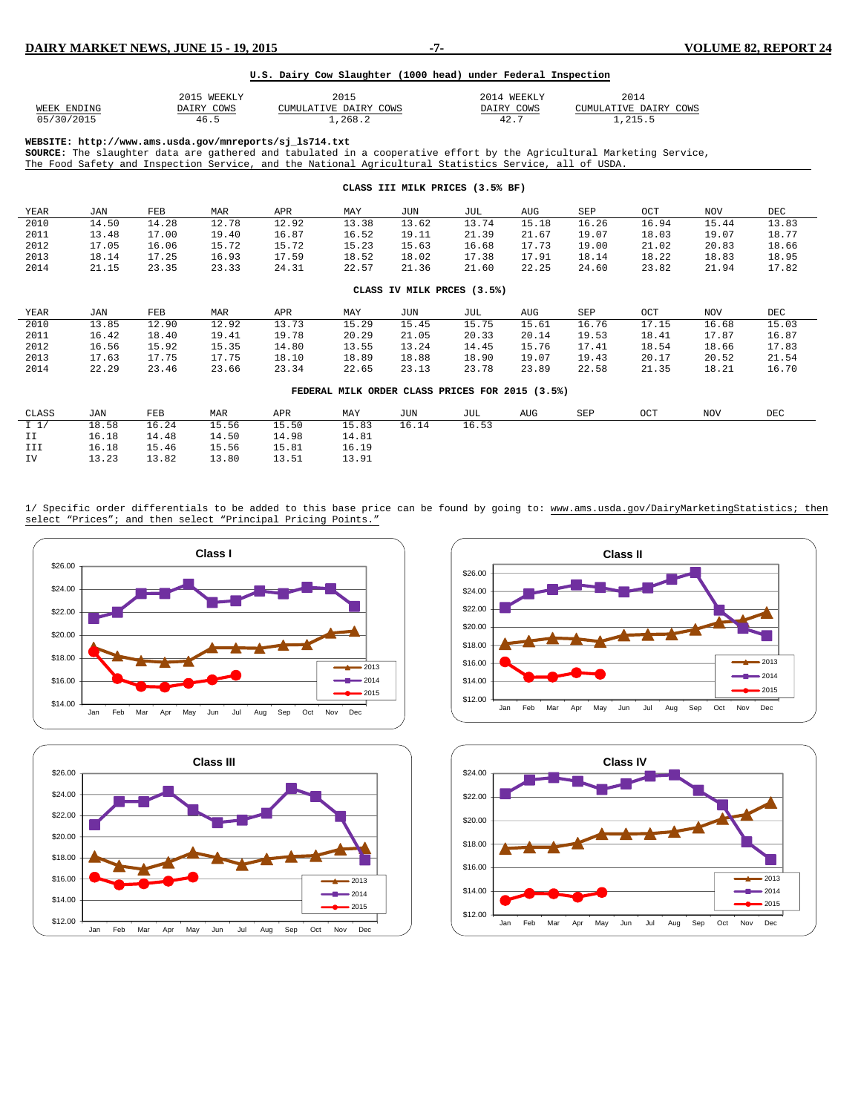#### **U.S. Dairy Cow Slaughter (1000 head) under Federal Inspection**

|             | 2015 WEEKLY | 2015                  | 2014 WEEKLY | 2014                  |
|-------------|-------------|-----------------------|-------------|-----------------------|
| WEEK ENDING | DAIRY COWS  | CUMULATIVE DAIRY COWS | DAIRY COWS  | CUMULATIVE DAIRY COWS |
| 05/30/2015  | 46.5        | .268.2                | 42.7        | .215.5                |

**WEBSITE: http://www.ams.usda.gov/mnreports/sj\_ls714.txt** 

**SOURCE:** The slaughter data are gathered and tabulated in a cooperative effort by the Agricultural Marketing Service, The Food Safety and Inspection Service, and the National Agricultural Statistics Service, all of USDA.

| CLASS III MILK PRICES (3.5% BF) |                            |       |       |       |                                                 |       |       |       |       |       |       |       |
|---------------------------------|----------------------------|-------|-------|-------|-------------------------------------------------|-------|-------|-------|-------|-------|-------|-------|
| YEAR                            | JAN                        | FEB   | MAR   | APR   | MAY                                             | JUN   | JUL   | AUG   | SEP   | OCT   | NOV   | DEC   |
| 2010                            | 14.50                      | 14.28 | 12.78 | 12.92 | 13.38                                           | 13.62 | 13.74 | 15.18 | 16.26 | 16.94 | 15.44 | 13.83 |
| 2011                            | 13.48                      | 17.00 | 19.40 | 16.87 | 16.52                                           | 19.11 | 21.39 | 21.67 | 19.07 | 18.03 | 19.07 | 18.77 |
| 2012                            | 17.05                      | 16.06 | 15.72 | 15.72 | 15.23                                           | 15.63 | 16.68 | 17.73 | 19.00 | 21.02 | 20.83 | 18.66 |
| 2013                            | 18.14                      | 17.25 | 16.93 | 17.59 | 18.52                                           | 18.02 | 17.38 | 17.91 | 18.14 | 18.22 | 18.83 | 18.95 |
| 2014                            | 21.15                      | 23.35 | 23.33 | 24.31 | 22.57                                           | 21.36 | 21.60 | 22.25 | 24.60 | 23.82 | 21.94 | 17.82 |
|                                 | CLASS IV MILK PRCES (3.5%) |       |       |       |                                                 |       |       |       |       |       |       |       |
|                                 |                            |       |       |       |                                                 |       |       |       |       |       |       |       |
| YEAR                            | JAN                        | FEB   | MAR   | APR   | MAY                                             | JUN   | JUL   | AUG   | SEP   | OCT   | NOV   | DEC   |
| 2010                            | 13.85                      | 12.90 | 12.92 | 13.73 | 15.29                                           | 15.45 | 15.75 | 15.61 | 16.76 | 17.15 | 16.68 | 15.03 |
| 2011                            | 16.42                      | 18.40 | 19.41 | 19.78 | 20.29                                           | 21.05 | 20.33 | 20.14 | 19.53 | 18.41 | 17.87 | 16.87 |
| 2012                            | 16.56                      | 15.92 | 15.35 | 14.80 | 13.55                                           | 13.24 | 14.45 | 15.76 | 17.41 | 18.54 | 18.66 | 17.83 |
| 2013                            | 17.63                      | 17.75 | 17.75 | 18.10 | 18.89                                           | 18.88 | 18.90 | 19.07 | 19.43 | 20.17 | 20.52 | 21.54 |
| 2014                            | 22.29                      | 23.46 | 23.66 | 23.34 | 22.65                                           | 23.13 | 23.78 | 23.89 | 22.58 | 21.35 | 18.21 | 16.70 |
|                                 |                            |       |       |       | FEDERAL MILK ORDER CLASS PRICES FOR 2015 (3.5%) |       |       |       |       |       |       |       |
| CLASS                           | JAN                        | FEB   | MAR   | APR   | MAY                                             | JUN   | JUL   | AUG   | SEP   | OCT   | NOV   | DEC   |
| $I \sim 1/$                     | 18.58                      | 16.24 | 15.56 | 15.50 | 15.83                                           | 16.14 | 16.53 |       |       |       |       |       |
| II                              | 16.18                      | 14.48 | 14.50 | 14.98 | 14.81                                           |       |       |       |       |       |       |       |
| III                             | 16.18                      | 15.46 | 15.56 | 15.81 | 16.19                                           |       |       |       |       |       |       |       |
| IV                              | 13.23                      | 13.82 | 13.80 | 13.51 | 13.91                                           |       |       |       |       |       |       |       |

1/ Specific order differentials to be added to this base price can be found by going to: www.ams.usda.gov/DairyMarketingStatistics; then select "Prices"; and then select "Principal Pricing Points."







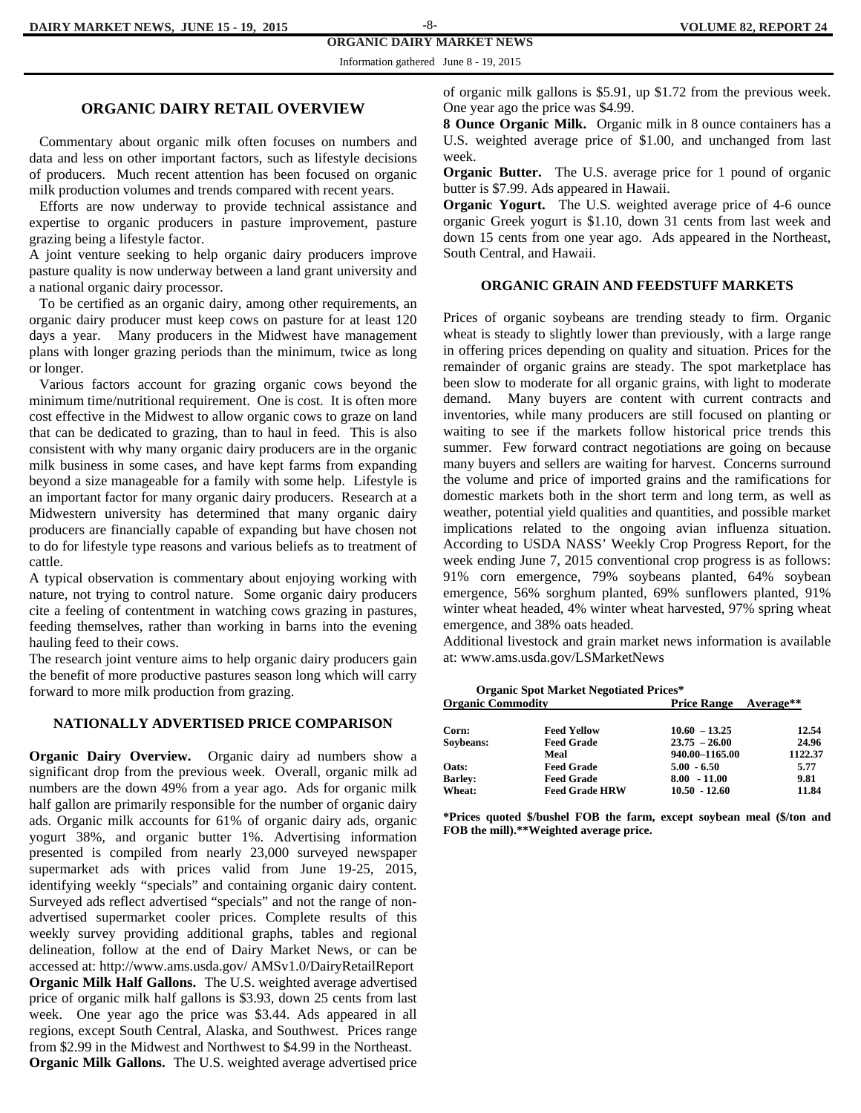#### **ORGANIC DAIRY MARKET NEWS**  -8-

Information gathered June 8 - 19, 2015

#### **ORGANIC DAIRY RETAIL OVERVIEW**

 Commentary about organic milk often focuses on numbers and data and less on other important factors, such as lifestyle decisions of producers. Much recent attention has been focused on organic milk production volumes and trends compared with recent years.

 Efforts are now underway to provide technical assistance and expertise to organic producers in pasture improvement, pasture grazing being a lifestyle factor.

A joint venture seeking to help organic dairy producers improve pasture quality is now underway between a land grant university and a national organic dairy processor.

 To be certified as an organic dairy, among other requirements, an organic dairy producer must keep cows on pasture for at least 120 days a year. Many producers in the Midwest have management plans with longer grazing periods than the minimum, twice as long or longer.

 Various factors account for grazing organic cows beyond the minimum time/nutritional requirement. One is cost. It is often more cost effective in the Midwest to allow organic cows to graze on land that can be dedicated to grazing, than to haul in feed. This is also consistent with why many organic dairy producers are in the organic milk business in some cases, and have kept farms from expanding beyond a size manageable for a family with some help. Lifestyle is an important factor for many organic dairy producers. Research at a Midwestern university has determined that many organic dairy producers are financially capable of expanding but have chosen not to do for lifestyle type reasons and various beliefs as to treatment of cattle.

A typical observation is commentary about enjoying working with nature, not trying to control nature. Some organic dairy producers cite a feeling of contentment in watching cows grazing in pastures, feeding themselves, rather than working in barns into the evening hauling feed to their cows.

The research joint venture aims to help organic dairy producers gain the benefit of more productive pastures season long which will carry forward to more milk production from grazing.

#### **NATIONALLY ADVERTISED PRICE COMPARISON**

**Organic Dairy Overview.** Organic dairy ad numbers show a significant drop from the previous week. Overall, organic milk ad numbers are the down 49% from a year ago. Ads for organic milk half gallon are primarily responsible for the number of organic dairy ads. Organic milk accounts for 61% of organic dairy ads, organic yogurt 38%, and organic butter 1%. Advertising information presented is compiled from nearly 23,000 surveyed newspaper supermarket ads with prices valid from June 19-25, 2015, identifying weekly "specials" and containing organic dairy content. Surveyed ads reflect advertised "specials" and not the range of nonadvertised supermarket cooler prices. Complete results of this weekly survey providing additional graphs, tables and regional delineation, follow at the end of Dairy Market News, or can be accessed at: http://www.ams.usda.gov/ AMSv1.0/DairyRetailReport **Organic Milk Half Gallons.** The U.S. weighted average advertised price of organic milk half gallons is \$3.93, down 25 cents from last week. One year ago the price was \$3.44. Ads appeared in all regions, except South Central, Alaska, and Southwest. Prices range from \$2.99 in the Midwest and Northwest to \$4.99 in the Northeast. **Organic Milk Gallons.** The U.S. weighted average advertised price

of organic milk gallons is \$5.91, up \$1.72 from the previous week. One year ago the price was \$4.99.

**8 Ounce Organic Milk.** Organic milk in 8 ounce containers has a U.S. weighted average price of \$1.00, and unchanged from last week.

**Organic Butter.** The U.S. average price for 1 pound of organic butter is \$7.99. Ads appeared in Hawaii.

**Organic Yogurt.** The U.S. weighted average price of 4-6 ounce organic Greek yogurt is \$1.10, down 31 cents from last week and down 15 cents from one year ago. Ads appeared in the Northeast, South Central, and Hawaii.

#### **ORGANIC GRAIN AND FEEDSTUFF MARKETS**

Prices of organic soybeans are trending steady to firm. Organic wheat is steady to slightly lower than previously, with a large range in offering prices depending on quality and situation. Prices for the remainder of organic grains are steady. The spot marketplace has been slow to moderate for all organic grains, with light to moderate demand. Many buyers are content with current contracts and inventories, while many producers are still focused on planting or waiting to see if the markets follow historical price trends this summer. Few forward contract negotiations are going on because many buyers and sellers are waiting for harvest. Concerns surround the volume and price of imported grains and the ramifications for domestic markets both in the short term and long term, as well as weather, potential yield qualities and quantities, and possible market implications related to the ongoing avian influenza situation. According to USDA NASS' Weekly Crop Progress Report, for the week ending June 7, 2015 conventional crop progress is as follows: 91% corn emergence, 79% soybeans planted, 64% soybean emergence, 56% sorghum planted, 69% sunflowers planted, 91% winter wheat headed, 4% winter wheat harvested, 97% spring wheat emergence, and 38% oats headed.

Additional livestock and grain market news information is available at: www.ams.usda.gov/LSMarketNews

| <b>Organic Spot Market Negotiated Prices*</b> |                       |                              |         |  |  |  |  |  |  |
|-----------------------------------------------|-----------------------|------------------------------|---------|--|--|--|--|--|--|
| <b>Organic Commodity</b>                      |                       | <b>Price Range</b> Average** |         |  |  |  |  |  |  |
| Corn:                                         | <b>Feed Yellow</b>    | $10.60 - 13.25$              | 12.54   |  |  |  |  |  |  |
| Soybeans:                                     | <b>Feed Grade</b>     | $23.75 - 26.00$              | 24.96   |  |  |  |  |  |  |
|                                               | Meal                  | 940.00-1165.00               | 1122.37 |  |  |  |  |  |  |
| Oats:                                         | <b>Feed Grade</b>     | $5.00 - 6.50$                | 5.77    |  |  |  |  |  |  |
| <b>Barley:</b>                                | <b>Feed Grade</b>     | $8.00 - 11.00$               | 9.81    |  |  |  |  |  |  |
| Wheat:                                        | <b>Feed Grade HRW</b> | $10.50 - 12.60$              | 11.84   |  |  |  |  |  |  |

**\*Prices quoted \$/bushel FOB the farm, except soybean meal (\$/ton and FOB the mill).\*\*Weighted average price.**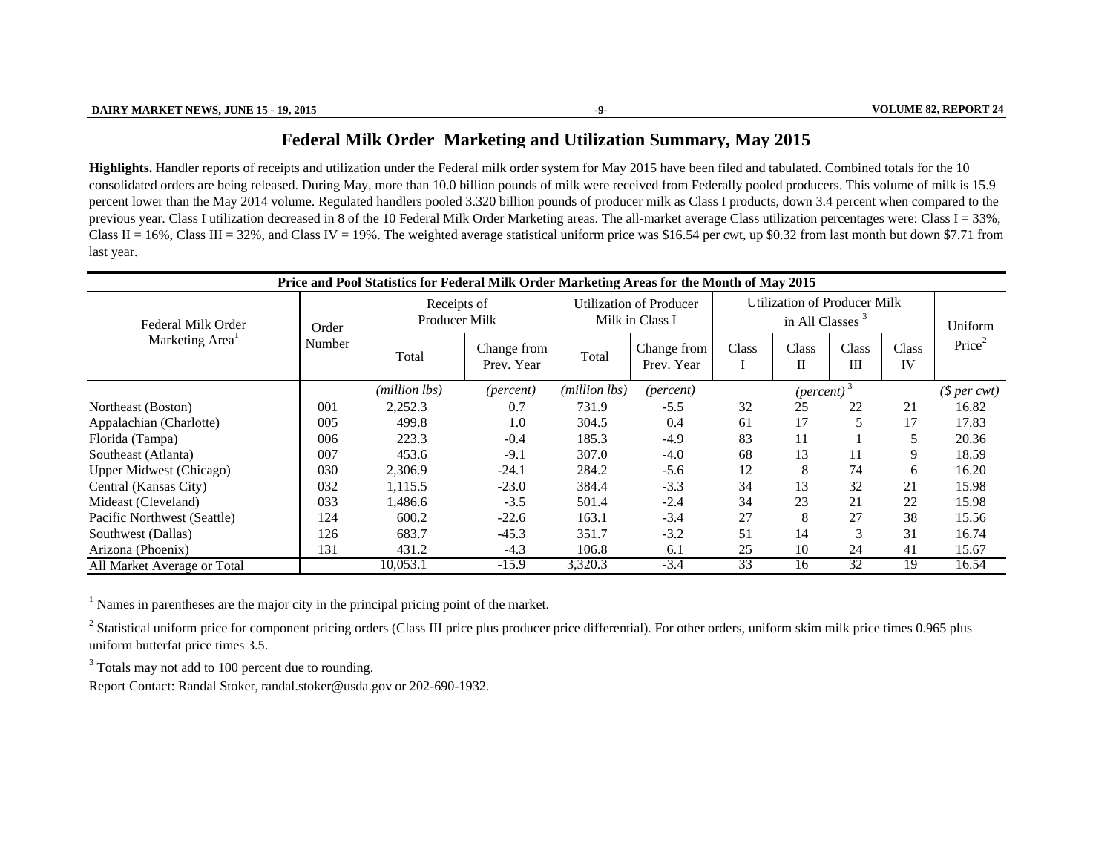### **Federal Milk Order Marketin g and Utilization Summary, Ma y 2015**

**Highlights.** Handler reports of receipts and utilization under the Federal milk order system for May 2015 have been filed and tabulated. Combined totals for the 10 consolidated orders are being released. During May, more than 10.0 billion pounds of milk were received from Federally pooled producers. This volume of milk is 15.9 percent lower than the May 2014 volume. Regulated handlers pooled 3.320 billion pounds of producer milk as Class I products, down 3.4 percent when compared to the previous year. Class I utilization decreased in 8 of the 10 Federal Milk Order Marketing areas. The all-market average Class utilization percentages were: Class I = 33%, Class II = 16%, Class III = 32%, and Class IV = 19%. The weighted average statistical uniform price was \$16.54 per cwt, up \$0.32 from last month but down \$7.71 from last year.

| Price and Pool Statistics for Federal Milk Order Marketing Areas for the Month of May 2015 |        |                              |                                     |                                                   |                           |                                                                    |                      |              |             |                    |
|--------------------------------------------------------------------------------------------|--------|------------------------------|-------------------------------------|---------------------------------------------------|---------------------------|--------------------------------------------------------------------|----------------------|--------------|-------------|--------------------|
| Federal Milk Order<br>Marketing Area <sup>1</sup>                                          | Order  | Receipts of<br>Producer Milk |                                     | <b>Utilization of Producer</b><br>Milk in Class I |                           | <b>Utilization of Producer Milk</b><br>in All Classes <sup>3</sup> |                      |              | Uniform     |                    |
|                                                                                            | Number | Total                        | Change from<br>Prev. Year           | Total                                             | Change from<br>Prev. Year | Class                                                              | Class<br>$_{\rm II}$ | Class<br>III | Class<br>IV | Price <sup>2</sup> |
|                                                                                            |        | (million lbs)                | (million lbs)<br>( <i>percent</i> ) |                                                   | (percent)                 |                                                                    | $(\text{percent})^3$ |              |             | $$per\,\,$         |
| Northeast (Boston)                                                                         | 001    | 2,252.3                      | 0.7                                 | 731.9                                             | $-5.5$                    | 32                                                                 | 25                   | 22           | 21          | 16.82              |
| Appalachian (Charlotte)                                                                    | 005    | 499.8                        | 1.0                                 | 304.5                                             | 0.4                       | 61                                                                 | 17                   | 5            | 17          | 17.83              |
| Florida (Tampa)                                                                            | 006    | 223.3                        | $-0.4$                              | 185.3                                             | $-4.9$                    | 83                                                                 | 11                   |              | 5           | 20.36              |
| Southeast (Atlanta)                                                                        | 007    | 453.6                        | $-9.1$                              | 307.0                                             | $-4.0$                    | 68                                                                 | 13                   | 11           | 9           | 18.59              |
| <b>Upper Midwest (Chicago)</b>                                                             | 030    | 2,306.9                      | $-24.1$                             | 284.2                                             | $-5.6$                    | 12                                                                 | 8                    | 74           | 6           | 16.20              |
| Central (Kansas City)                                                                      | 032    | 1,115.5                      | $-23.0$                             | 384.4                                             | $-3.3$                    | 34                                                                 | 13                   | 32           | 21          | 15.98              |
| Mideast (Cleveland)                                                                        | 033    | 1,486.6                      | $-3.5$                              | 501.4                                             | $-2.4$                    | 34                                                                 | 23                   | 21           | 22          | 15.98              |
| Pacific Northwest (Seattle)                                                                | 124    | 600.2                        | $-22.6$                             | 163.1                                             | $-3.4$                    | 27                                                                 | 8                    | 27           | 38          | 15.56              |
| Southwest (Dallas)                                                                         | 126    | 683.7                        | $-45.3$                             | 351.7                                             | $-3.2$                    | 51                                                                 | 14                   | 3            | 31          | 16.74              |
| Arizona (Phoenix)                                                                          | 131    | 431.2                        | $-4.3$                              | 106.8                                             | 6.1                       | 25                                                                 | 10                   | 24           | 41          | 15.67              |
| All Market Average or Total                                                                |        | 10.053.1                     | $-15.9$                             | 3,320.3                                           | $-3.4$                    | 33                                                                 | 16                   | 32           | 19          | 16.54              |

 $<sup>1</sup>$  Names in parentheses are the major city in the principal pricing point of the market.</sup>

<sup>2</sup> Statistical uniform price for component pricing orders (Class III price plus producer price differential). For other orders, uniform skim milk price times 0.965 plus uniform butterfat price times 3.5.

 $3$  Totals may not add to 100 percent due to rounding.

Report Contact: Randal Stoker, randal.stoker@usda.gov or 202-690-1932.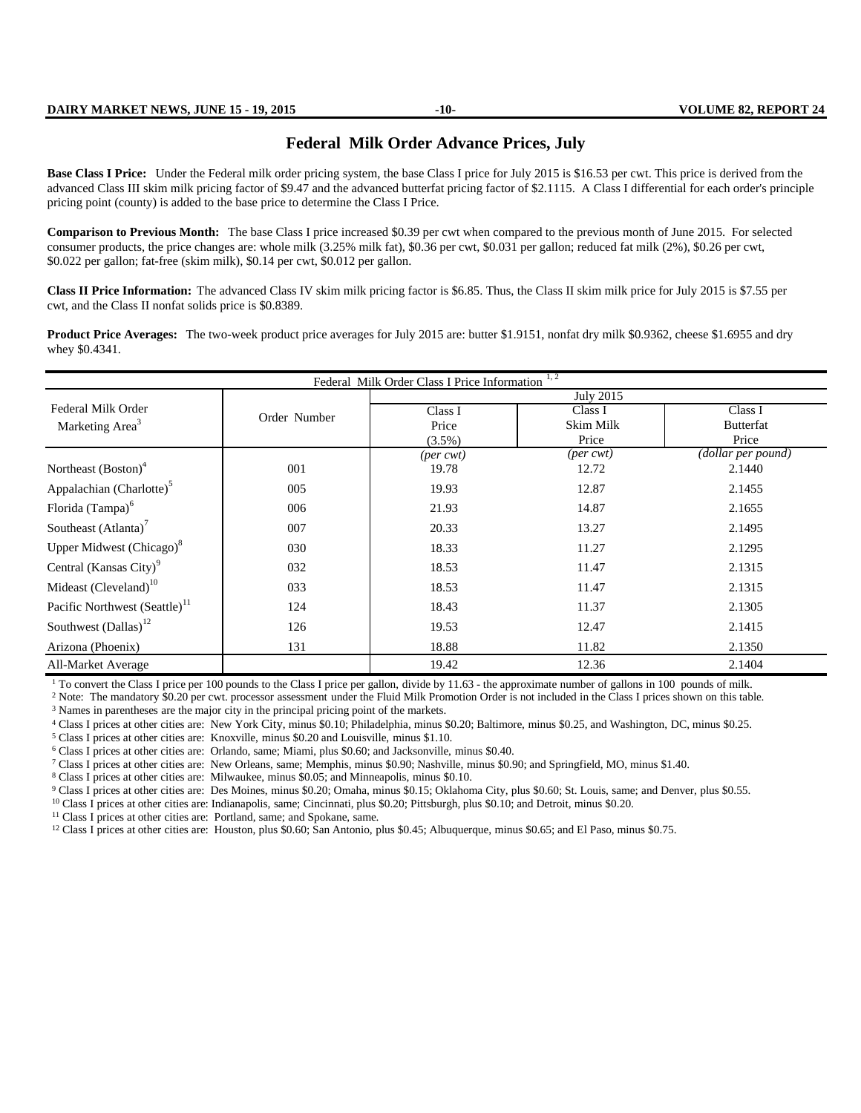#### **DAIRY MARKET NEWS, JUNE 15 - 19, 2015 -10- VOLUME 82, REPORT 24**

#### **Federal Milk Order Advance Prices, July**

Base Class I Price: Under the Federal milk order pricing system, the base Class I price for July 2015 is \$16.53 per cwt. This price is derived from the advanced Class III skim milk pricing factor of \$9.47 and the advanced butterfat pricing factor of \$2.1115. A Class I differential for each order's principle pricing point (county) is added to the base price to determine the Class I Price.

**Comparison to Previous Month:** The base Class I price increased \$0.39 per cwt when compared to the previous month of June 2015. For selected consumer products, the price changes are: whole milk (3.25% milk fat), \$0.36 per cwt, \$0.031 per gallon; reduced fat milk (2%), \$0.26 per cwt, \$0.022 per gallon; fat-free (skim milk), \$0.14 per cwt, \$0.012 per gallon.

**Class II Price Information:** The advanced Class IV skim milk pricing factor is \$6.85. Thus, the Class II skim milk price for July 2015 is \$7.55 per cwt, and the Class II nonfat solids price is \$0.8389.

Product Price Averages: The two-week product price averages for July 2015 are: butter \$1.9151, nonfat dry milk \$0.9362, cheese \$1.6955 and dry whey \$0.4341.

| Federal Milk Order Class I Price Information <sup>1,2</sup> |              |                            |           |                    |  |  |  |  |  |
|-------------------------------------------------------------|--------------|----------------------------|-----------|--------------------|--|--|--|--|--|
|                                                             |              | <b>July 2015</b>           |           |                    |  |  |  |  |  |
| Federal Milk Order                                          | Order Number | Class I                    | Class I   | Class I            |  |  |  |  |  |
| Marketing Area <sup>3</sup>                                 |              | Price                      | Skim Milk | <b>Butterfat</b>   |  |  |  |  |  |
|                                                             |              | $(3.5\%)$                  | Price     | Price              |  |  |  |  |  |
|                                                             |              | $(\text{per} \text{ cwt})$ | (per cwt) | (dollar per pound) |  |  |  |  |  |
| Northeast (Boston) <sup>4</sup>                             | 001          | 19.78                      | 12.72     | 2.1440             |  |  |  |  |  |
| Appalachian (Charlotte) <sup>5</sup>                        | 005          | 19.93                      | 12.87     | 2.1455             |  |  |  |  |  |
| Florida (Tampa) <sup>6</sup>                                | 006          | 21.93                      | 14.87     | 2.1655             |  |  |  |  |  |
| Southeast (Atlanta) <sup>7</sup>                            | 007          | 20.33                      | 13.27     | 2.1495             |  |  |  |  |  |
| Upper Midwest (Chicago) <sup>8</sup>                        | 030          | 18.33                      | 11.27     | 2.1295             |  |  |  |  |  |
| Central (Kansas City) <sup>9</sup>                          | 032          | 18.53                      | 11.47     | 2.1315             |  |  |  |  |  |
| Mideast (Cleveland) <sup>10</sup>                           | 033          | 18.53                      | 11.47     | 2.1315             |  |  |  |  |  |
| Pacific Northwest (Seattle) <sup>11</sup>                   | 124          | 18.43                      | 11.37     | 2.1305             |  |  |  |  |  |
| Southwest $(Dallas)^{12}$                                   | 126          | 19.53                      | 12.47     | 2.1415             |  |  |  |  |  |
| Arizona (Phoenix)                                           | 131          | 18.88                      | 11.82     | 2.1350             |  |  |  |  |  |
| All-Market Average                                          |              | 19.42                      | 12.36     | 2.1404             |  |  |  |  |  |

<sup>1</sup> To convert the Class I price per 100 pounds to the Class I price per gallon, divide by 11.63 - the approximate number of gallons in 100 pounds of milk.

<sup>2</sup> Note: The mandatory \$0.20 per cwt. processor assessment under the Fluid Milk Promotion Order is not included in the Class I prices shown on this table. <sup>3</sup> Names in parentheses are the major city in the principal pricing point of the markets.

<sup>4</sup> Class I prices at other cities are: New York City, minus \$0.10; Philadelphia, minus \$0.20; Baltimore, minus \$0.25, and Washington, DC, minus \$0.25.

<sup>5</sup> Class I prices at other cities are: Knoxville, minus \$0.20 and Louisville, minus \$1.10.

<sup>6</sup> Class I prices at other cities are: Orlando, same; Miami, plus \$0.60; and Jacksonville, minus \$0.40.

<sup>7</sup> Class I prices at other cities are: New Orleans, same; Memphis, minus \$0.90; Nashville, minus \$0.90; and Springfield, MO, minus \$1.40.

<sup>8</sup> Class I prices at other cities are: Milwaukee, minus \$0.05; and Minneapolis, minus \$0.10.

<sup>9</sup> Class I prices at other cities are: Des Moines, minus \$0.20; Omaha, minus \$0.15; Oklahoma City, plus \$0.60; St. Louis, same; and Denver, plus \$0.55.

<sup>10</sup> Class I prices at other cities are: Indianapolis, same; Cincinnati, plus \$0.20; Pittsburgh, plus \$0.10; and Detroit, minus \$0.20.

<sup>11</sup> Class I prices at other cities are: Portland, same; and Spokane, same.<br><sup>12</sup> Class I prices at other cities are: Houston, plus \$0.60; San Antonio, plus \$0.45; Albuquerque, minus \$0.65; and El Paso, minus \$0.75.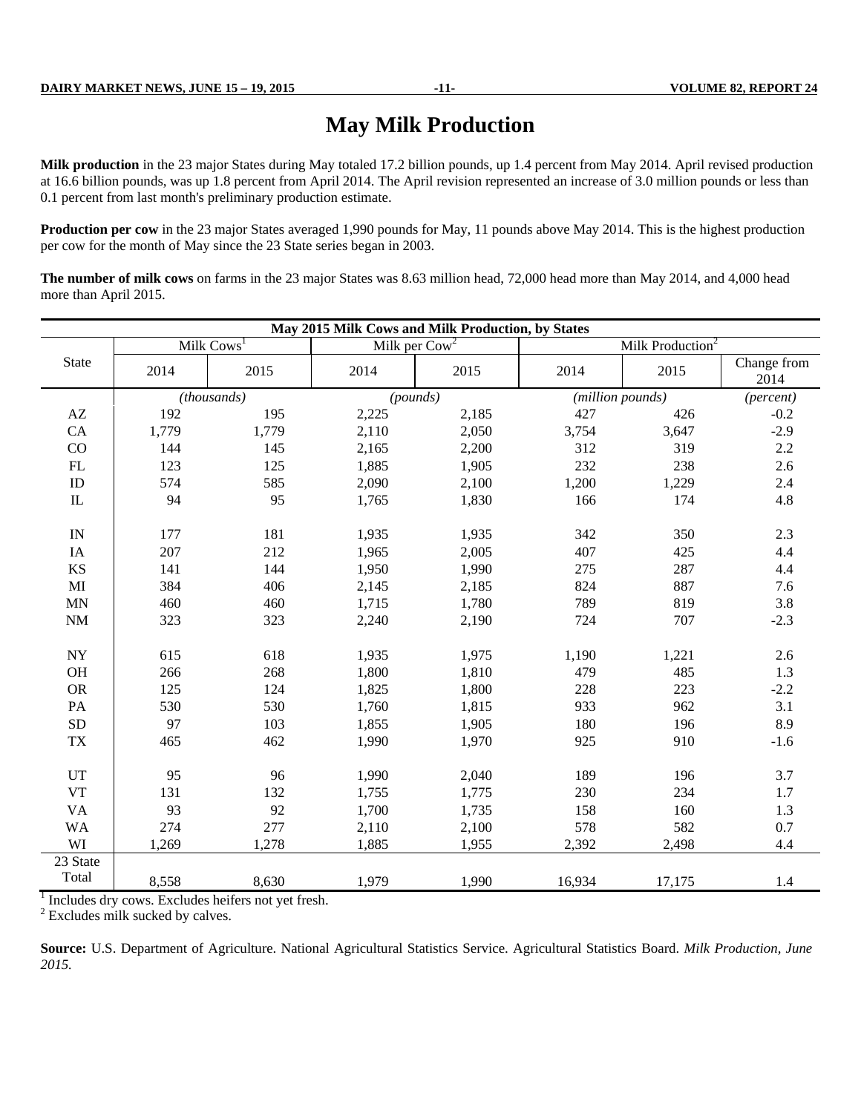# **May Milk Production**

Milk production in the 23 major States during May totaled 17.2 billion pounds, up 1.4 percent from May 2014. April revised production at 16.6 billion pounds, was up 1.8 percent from April 2014. The April revision represented an increase of 3.0 million pounds or less than 0.1 percent from last month's preliminary production estimate.

**Production per cow** in the 23 major States averaged 1,990 pounds for May, 11 pounds above May 2014. This is the highest production per cow for the month of May since the 23 State series began in 2003.

**The number of milk cows** on farms in the 23 major States was 8.63 million head, 72,000 head more than May 2014, and 4,000 head more than April 2015.

|                          | May 2015 Milk Cows and Milk Production, by States |                                                                 |                                    |       |                  |                              |                     |  |  |  |
|--------------------------|---------------------------------------------------|-----------------------------------------------------------------|------------------------------------|-------|------------------|------------------------------|---------------------|--|--|--|
|                          |                                                   | Milk $Cows1$                                                    | Milk per $\overline{\text{Cow}^2}$ |       |                  | Milk Production <sup>2</sup> |                     |  |  |  |
| <b>State</b>             | 2014                                              | 2015                                                            | 2014                               | 2015  | 2014             | 2015                         | Change from<br>2014 |  |  |  |
|                          |                                                   | (thousands)                                                     | (pounds)                           |       | (million pounds) |                              | (percent)           |  |  |  |
| AZ                       | 192                                               | 195                                                             | 2,225                              | 2,185 | 427              | 426                          | $-0.2$              |  |  |  |
| CA                       | 1,779                                             | 1,779                                                           | 2,110                              | 2,050 | 3,754            | 3,647                        | $-2.9$              |  |  |  |
| CO                       | 144                                               | 145                                                             | 2,165                              | 2,200 | 312              | 319                          | 2.2                 |  |  |  |
| ${\rm FL}$               | 123                                               | 125                                                             | 1,885                              | 1,905 | 232              | 238                          | 2.6                 |  |  |  |
| ID                       | 574                                               | 585                                                             | 2,090                              | 2,100 | 1,200            | 1,229                        | 2.4                 |  |  |  |
| $\rm IL$                 | 94                                                | 95                                                              | 1,765                              | 1,830 | 166              | 174                          | 4.8                 |  |  |  |
| $\ensuremath{\text{IN}}$ | 177                                               | 181                                                             | 1,935                              | 1,935 | 342              | 350                          | 2.3                 |  |  |  |
| IA                       | 207                                               | 212                                                             | 1,965                              | 2,005 | 407              | 425                          | 4.4                 |  |  |  |
| $\mathbf{K}\mathbf{S}$   | 141                                               | 144                                                             | 1,950                              | 1,990 | 275              | 287                          | 4.4                 |  |  |  |
| MI                       | 384                                               | 406                                                             | 2,145                              | 2,185 | 824              | 887                          | 7.6                 |  |  |  |
| $\mbox{MN}$              | 460                                               | 460                                                             | 1,715                              | 1,780 | 789              | 819                          | 3.8                 |  |  |  |
| $\rm{NM}$                | 323                                               | 323                                                             | 2,240                              | 2,190 | 724              | 707                          | $-2.3$              |  |  |  |
| <b>NY</b>                | 615                                               | 618                                                             | 1,935                              | 1,975 | 1,190            | 1,221                        | 2.6                 |  |  |  |
| OH                       | 266                                               | 268                                                             | 1,800                              | 1,810 | 479              | 485                          | 1.3                 |  |  |  |
| <b>OR</b>                | 125                                               | 124                                                             | 1,825                              | 1,800 | 228              | 223                          | $-2.2$              |  |  |  |
| PA                       | 530                                               | 530                                                             | 1,760                              | 1,815 | 933              | 962                          | 3.1                 |  |  |  |
| <b>SD</b>                | 97                                                | 103                                                             | 1,855                              | 1,905 | 180              | 196                          | 8.9                 |  |  |  |
| $\mathcal{T}\mathcal{X}$ | 465                                               | 462                                                             | 1,990                              | 1,970 | 925              | 910                          | $-1.6$              |  |  |  |
| UT                       | 95                                                | 96                                                              | 1,990                              | 2,040 | 189              | 196                          | 3.7                 |  |  |  |
| <b>VT</b>                | 131                                               | 132                                                             | 1,755                              | 1,775 | 230              | 234                          | 1.7                 |  |  |  |
| <b>VA</b>                | 93                                                | 92                                                              | 1,700                              | 1,735 | 158              | 160                          | 1.3                 |  |  |  |
| <b>WA</b>                | 274                                               | 277                                                             | 2,110                              | 2,100 | 578              | 582                          | 0.7                 |  |  |  |
| WI                       | 1,269                                             | 1,278                                                           | 1,885                              | 1,955 | 2,392            | 2,498                        | 4.4                 |  |  |  |
| 23 State                 |                                                   |                                                                 |                                    |       |                  |                              |                     |  |  |  |
| Total                    | 8,558                                             | 8,630                                                           | 1,979                              | 1,990 | 16,934           | 17,175                       | 1.4                 |  |  |  |
|                          |                                                   | <sup>1</sup> Includes dry cows. Excludes heifers not yet fresh. |                                    |       |                  |                              |                     |  |  |  |

<sup>2</sup> Excludes milk sucked by calves.

**Source:** U.S. Department of Agriculture. National Agricultural Statistics Service. Agricultural Statistics Board. *Milk Production, June 2015.*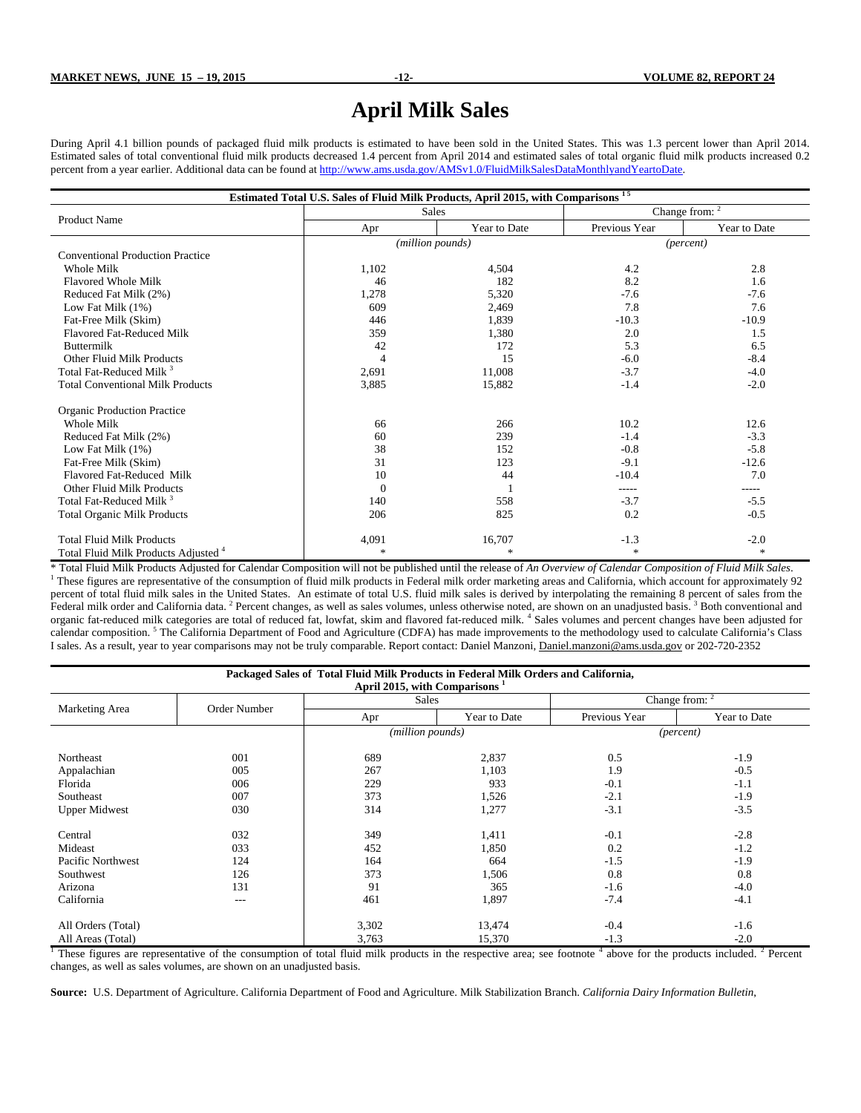# **April Milk Sales**

During April 4.1 billion pounds of packaged fluid milk products is estimated to have been sold in the United States. This was 1.3 percent lower than April 2014. Estimated sales of total conventional fluid milk products decreased 1.4 percent from April 2014 and estimated sales of total organic fluid milk products increased 0.2 percent from a year earlier. Additional data can be found at http://www.ams.usda.gov/AMSv1.0/FluidMilkSalesDataMonthlyandYeartoDate.

| Estimated Total U.S. Sales of Fluid Milk Products, April 2015, with Comparisons <sup>15</sup> |                |                  |               |                           |  |  |  |  |
|-----------------------------------------------------------------------------------------------|----------------|------------------|---------------|---------------------------|--|--|--|--|
| <b>Product Name</b>                                                                           |                | <b>Sales</b>     |               | Change from: <sup>2</sup> |  |  |  |  |
|                                                                                               | Apr            | Year to Date     | Previous Year | Year to Date              |  |  |  |  |
|                                                                                               |                | (million pounds) |               | (percent)                 |  |  |  |  |
| <b>Conventional Production Practice</b>                                                       |                |                  |               |                           |  |  |  |  |
| Whole Milk                                                                                    | 1,102          | 4,504            | 4.2           | 2.8                       |  |  |  |  |
| Flavored Whole Milk                                                                           | 46             | 182              | 8.2           | 1.6                       |  |  |  |  |
| Reduced Fat Milk (2%)                                                                         | 1,278          | 5,320            | $-7.6$        | $-7.6$                    |  |  |  |  |
| Low Fat Milk $(1%)$                                                                           | 609            | 2,469            | 7.8           | 7.6                       |  |  |  |  |
| Fat-Free Milk (Skim)                                                                          | 446            | 1,839            | $-10.3$       | $-10.9$                   |  |  |  |  |
| Flavored Fat-Reduced Milk                                                                     | 359            | 1,380            | 2.0           | 1.5                       |  |  |  |  |
| <b>Buttermilk</b>                                                                             | 42             | 172              | 5.3           | 6.5                       |  |  |  |  |
| Other Fluid Milk Products                                                                     | 4              | 15               | $-6.0$        | $-8.4$                    |  |  |  |  |
| Total Fat-Reduced Milk <sup>3</sup>                                                           | 2,691          | 11,008           | $-3.7$        | $-4.0$                    |  |  |  |  |
| <b>Total Conventional Milk Products</b>                                                       | 3,885          | 15,882           | $-1.4$        | $-2.0$                    |  |  |  |  |
| <b>Organic Production Practice</b>                                                            |                |                  |               |                           |  |  |  |  |
| Whole Milk                                                                                    | 66             | 266              | 10.2          | 12.6                      |  |  |  |  |
| Reduced Fat Milk (2%)                                                                         | 60             | 239              | $-1.4$        | $-3.3$                    |  |  |  |  |
| Low Fat Milk $(1%)$                                                                           | 38             | 152              | $-0.8$        | $-5.8$                    |  |  |  |  |
| Fat-Free Milk (Skim)                                                                          | 31             | 123              | $-9.1$        | $-12.6$                   |  |  |  |  |
| Flavored Fat-Reduced Milk                                                                     | 10             | 44               | $-10.4$       | 7.0                       |  |  |  |  |
| Other Fluid Milk Products                                                                     | $\overline{0}$ |                  | -----         |                           |  |  |  |  |
| Total Fat-Reduced Milk <sup>3</sup>                                                           | 140            | 558              | $-3.7$        | $-5.5$                    |  |  |  |  |
| <b>Total Organic Milk Products</b>                                                            | 206            | 825              | 0.2           | $-0.5$                    |  |  |  |  |
| <b>Total Fluid Milk Products</b>                                                              | 4,091          | 16,707           | $-1.3$        | $-2.0$                    |  |  |  |  |
| Total Fluid Milk Products Adjusted <sup>4</sup>                                               | $\ast$         | $\frac{1}{2}$    | $\ast$        | $\ast$                    |  |  |  |  |

\* Total Fluid Milk Products Adjusted for Calendar Composition will not be published until the release of *An Overview of Calendar Composition of Fluid Milk Sales*. 1  $1$  These figures are representative of the consumption of fluid milk products in Federal milk order marketing areas and California, which account for approximately 92 percent of total fluid milk sales in the United States. An estimate of total U.S. fluid milk sales is derived by interpolating the remaining 8 percent of sales from the Federal milk order and California data. <sup>2</sup> Percent changes, as well as sales volumes, unless otherwise noted, are shown on an unadjusted basis. <sup>3</sup> Both conventional and organic fat-reduced milk categories are total of reduced fat, lowfat, skim and flavored fat-reduced milk. <sup>4</sup> Sales volumes and percent changes have been adjusted for calendar composition.<sup>5</sup> The California Department of Food and Agriculture (CDFA) has made improvements to the methodology used to calculate California's Class I sales. As a result, year to year comparisons may not be truly comparable. Report contact: Daniel Manzoni, Daniel.manzoni@ams.usda.gov or 202-720-2352

| Packaged Sales of Total Fluid Milk Products in Federal Milk Orders and California,<br>April 2015, with Comparisons <sup>1</sup> |              |       |                  |               |                    |  |  |  |  |
|---------------------------------------------------------------------------------------------------------------------------------|--------------|-------|------------------|---------------|--------------------|--|--|--|--|
|                                                                                                                                 |              |       | <b>Sales</b>     |               | Change from: $2$   |  |  |  |  |
| Marketing Area                                                                                                                  | Order Number | Apr   | Year to Date     | Previous Year | Year to Date       |  |  |  |  |
|                                                                                                                                 |              |       | (million pounds) |               | ( <i>percent</i> ) |  |  |  |  |
| Northeast                                                                                                                       | 001          | 689   | 2,837            | 0.5           | $-1.9$             |  |  |  |  |
| Appalachian                                                                                                                     | 005          | 267   | 1,103            | 1.9           | $-0.5$             |  |  |  |  |
| Florida                                                                                                                         | 006          | 229   | 933              | $-0.1$        | $-1.1$             |  |  |  |  |
| Southeast                                                                                                                       | 007          | 373   | 1,526            | $-2.1$        | $-1.9$             |  |  |  |  |
| <b>Upper Midwest</b>                                                                                                            | 030          | 314   | 1,277            | $-3.1$        | $-3.5$             |  |  |  |  |
| Central                                                                                                                         | 032          | 349   | 1,411            | $-0.1$        | $-2.8$             |  |  |  |  |
| Mideast                                                                                                                         | 033          | 452   | .850             | 0.2           | $-1.2$             |  |  |  |  |
| Pacific Northwest                                                                                                               | 124          | 164   | 664              | $-1.5$        | $-1.9$             |  |  |  |  |
| Southwest                                                                                                                       | 126          | 373   | 1,506            | 0.8           | 0.8                |  |  |  |  |
| Arizona                                                                                                                         | 131          | 91    | 365              | $-1.6$        | $-4.0$             |  |  |  |  |
| California                                                                                                                      | $---$        | 461   | 1,897            | $-7.4$        | $-4.1$             |  |  |  |  |
| All Orders (Total)                                                                                                              |              | 3,302 | 13,474           | $-0.4$        | $-1.6$             |  |  |  |  |
| All Areas (Total)                                                                                                               |              | 3,763 | 15,370           | $-1.3$        | $-2.0$             |  |  |  |  |

<sup>1</sup> These figures are representative of the consumption of total fluid milk products in the respective area; see footnote <sup>4</sup> above for the products included. <sup>2</sup> Percent changes, as well as sales volumes, are shown on an unadjusted basis.

**Source:** U.S. Department of Agriculture. California Department of Food and Agriculture. Milk Stabilization Branch. *California Dairy Information Bulletin*,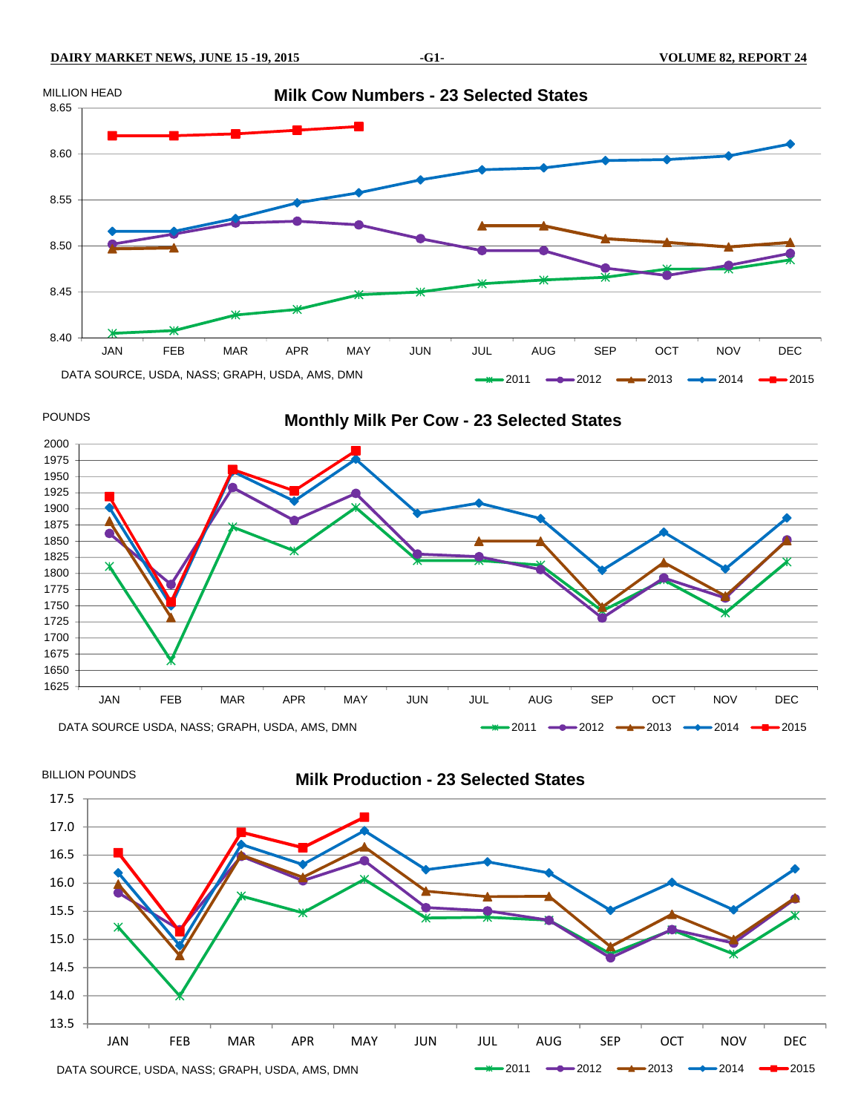

POUNDS

#### **Monthly Milk Per Cow - 23 Selected States**





# **Milk Production - 23 Selected States**

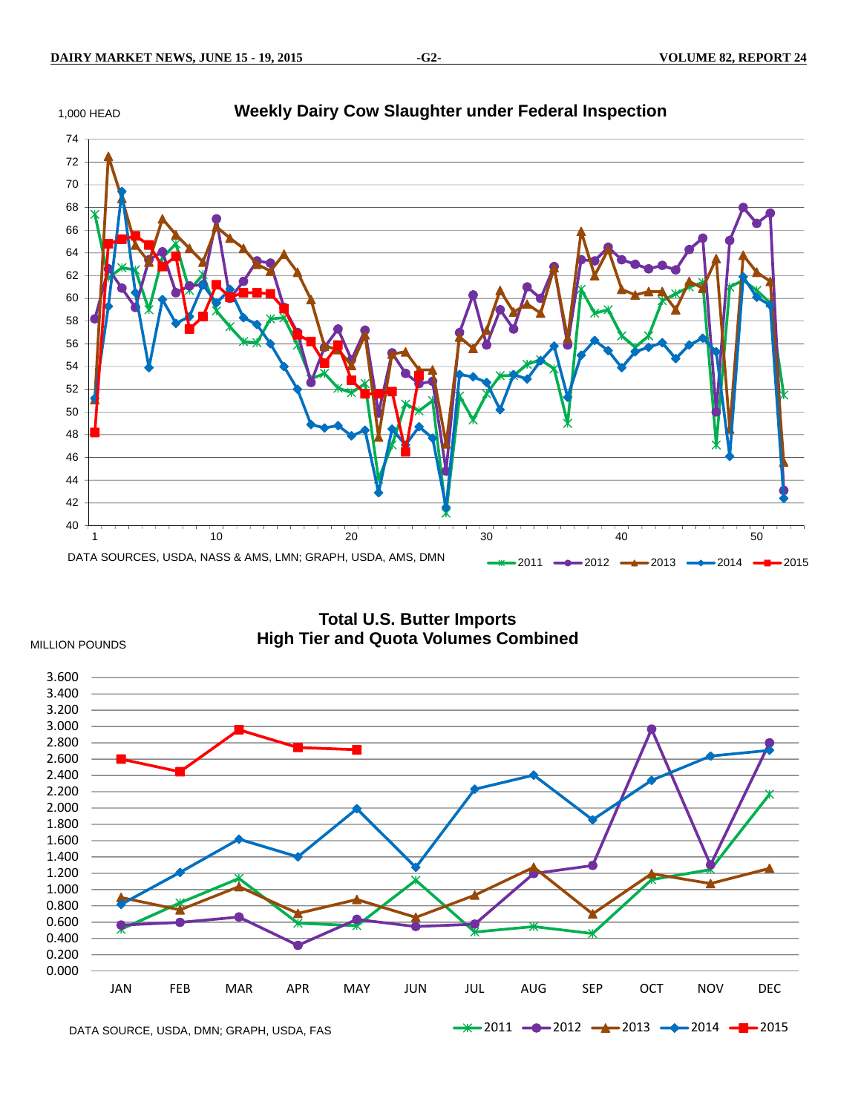



**Total U.S. Butter Imports High Tier and Quota Volumes Combined** 



DATA SOURCE, USDA, DMN; GRAPH, USDA, FAS

MILLION POUNDS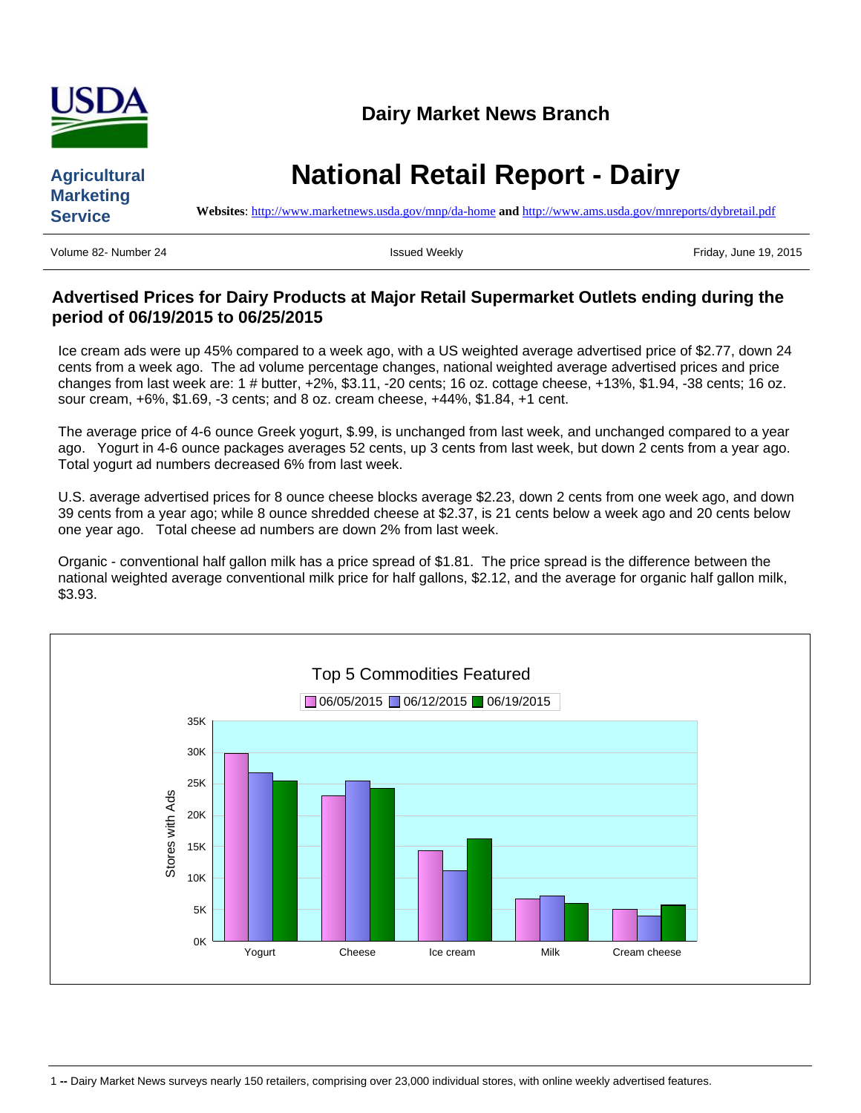

# **Agricultural Marketing Service**

# **National Retail Report - Dairy**

**Websites**: <http://www.marketnews.usda.gov/mnp/da-home> **and** <http://www.ams.usda.gov/mnreports/dybretail.pdf>

Volume 82- Number 24 **Issued Weekly Issued Weekly Issued Weekly Friday, June 19, 2015** 

# **Advertised Prices for Dairy Products at Major Retail Supermarket Outlets ending during the period of 06/19/2015 to 06/25/2015**

Ice cream ads were up 45% compared to a week ago, with a US weighted average advertised price of \$2.77, down 24 cents from a week ago. The ad volume percentage changes, national weighted average advertised prices and price changes from last week are: 1 # butter, +2%, \$3.11, -20 cents; 16 oz. cottage cheese, +13%, \$1.94, -38 cents; 16 oz. sour cream, +6%, \$1.69, -3 cents; and 8 oz. cream cheese, +44%, \$1.84, +1 cent.

The average price of 4-6 ounce Greek yogurt, \$.99, is unchanged from last week, and unchanged compared to a year ago. Yogurt in 4-6 ounce packages averages 52 cents, up 3 cents from last week, but down 2 cents from a year ago. Total yogurt ad numbers decreased 6% from last week.

U.S. average advertised prices for 8 ounce cheese blocks average \$2.23, down 2 cents from one week ago, and down 39 cents from a year ago; while 8 ounce shredded cheese at \$2.37, is 21 cents below a week ago and 20 cents below one year ago. Total cheese ad numbers are down 2% from last week.

Organic - conventional half gallon milk has a price spread of \$1.81. The price spread is the difference between the national weighted average conventional milk price for half gallons, \$2.12, and the average for organic half gallon milk, \$3.93.

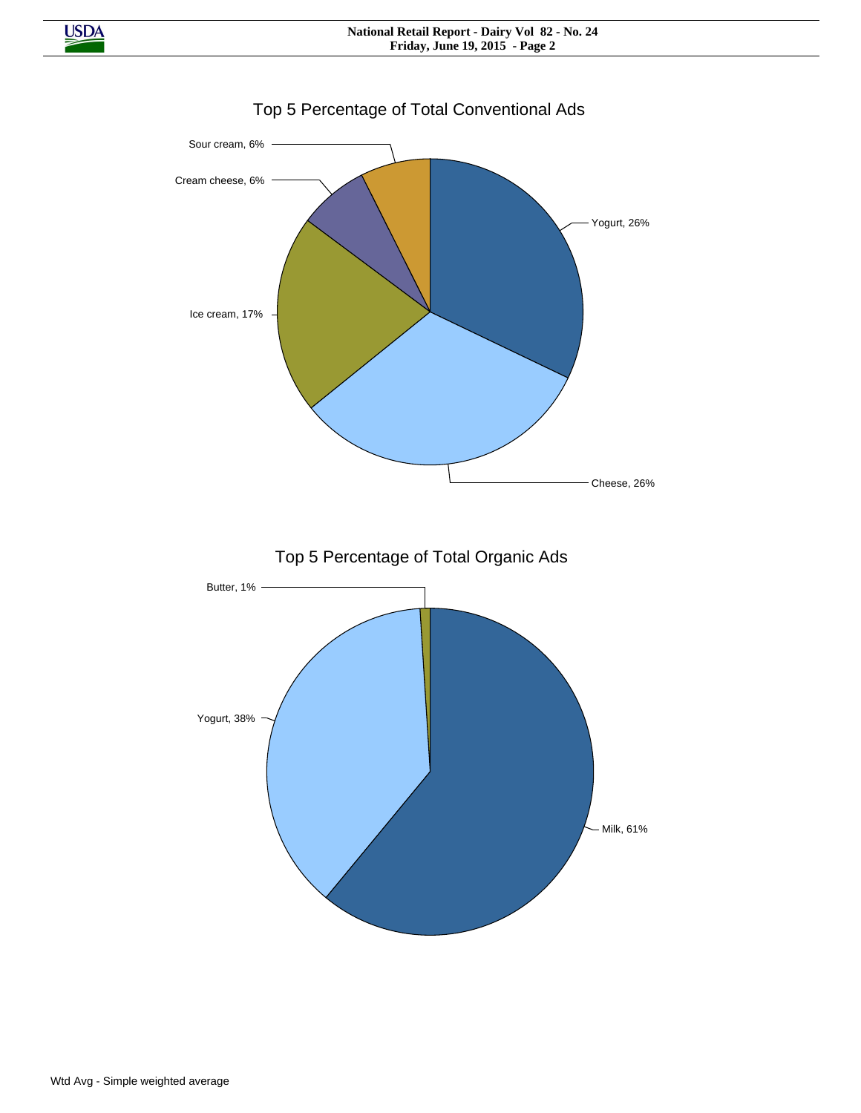

# Top 5 Percentage of Total Conventional Ads

**USDA**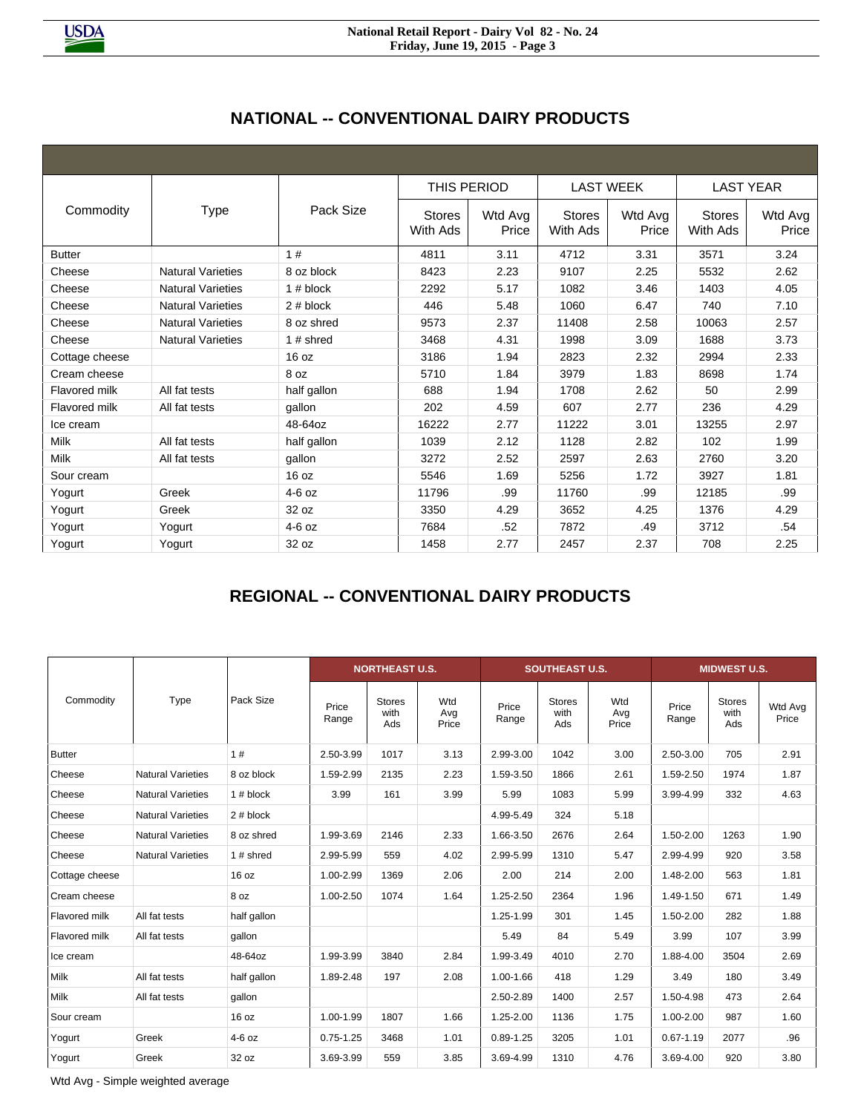|                |                          |             | THIS PERIOD               |                  | <b>LAST WEEK</b>          |                  | <b>LAST YEAR</b>          |                  |
|----------------|--------------------------|-------------|---------------------------|------------------|---------------------------|------------------|---------------------------|------------------|
| Commodity      | <b>Type</b>              | Pack Size   | <b>Stores</b><br>With Ads | Wtd Avg<br>Price | <b>Stores</b><br>With Ads | Wtd Avg<br>Price | <b>Stores</b><br>With Ads | Wtd Avg<br>Price |
| <b>Butter</b>  |                          | 1#          | 4811                      | 3.11             | 4712                      | 3.31             | 3571                      | 3.24             |
| Cheese         | <b>Natural Varieties</b> | 8 oz block  | 8423                      | 2.23             | 9107                      | 2.25             | 5532                      | 2.62             |
| Cheese         | <b>Natural Varieties</b> | $1#$ block  | 2292                      | 5.17             | 1082                      | 3.46             | 1403                      | 4.05             |
| Cheese         | <b>Natural Varieties</b> | 2# block    | 446                       | 5.48             | 1060                      | 6.47             | 740                       | 7.10             |
| Cheese         | <b>Natural Varieties</b> | 8 oz shred  | 9573                      | 2.37             | 11408                     | 2.58             | 10063                     | 2.57             |
| Cheese         | <b>Natural Varieties</b> | 1 $#$ shred | 3468                      | 4.31             | 1998                      | 3.09             | 1688                      | 3.73             |
| Cottage cheese |                          | 16 oz       | 3186                      | 1.94             | 2823                      | 2.32             | 2994                      | 2.33             |
| Cream cheese   |                          | 8 oz        | 5710                      | 1.84             | 3979                      | 1.83             | 8698                      | 1.74             |
| Flavored milk  | All fat tests            | half gallon | 688                       | 1.94             | 1708                      | 2.62             | 50                        | 2.99             |
| Flavored milk  | All fat tests            | gallon      | 202                       | 4.59             | 607                       | 2.77             | 236                       | 4.29             |
| Ice cream      |                          | 48-64oz     | 16222                     | 2.77             | 11222                     | 3.01             | 13255                     | 2.97             |
| <b>Milk</b>    | All fat tests            | half gallon | 1039                      | 2.12             | 1128                      | 2.82             | 102                       | 1.99             |
| Milk           | All fat tests            | gallon      | 3272                      | 2.52             | 2597                      | 2.63             | 2760                      | 3.20             |
| Sour cream     |                          | 16 oz       | 5546                      | 1.69             | 5256                      | 1.72             | 3927                      | 1.81             |
| Yogurt         | Greek                    | $4-6$ oz    | 11796                     | .99              | 11760                     | .99              | 12185                     | .99              |
| Yogurt         | Greek                    | 32 oz       | 3350                      | 4.29             | 3652                      | 4.25             | 1376                      | 4.29             |
| Yogurt         | Yogurt                   | $4-6$ oz    | 7684                      | .52              | 7872                      | .49              | 3712                      | .54              |
| Yogurt         | Yogurt                   | 32 oz       | 1458                      | 2.77             | 2457                      | 2.37             | 708                       | 2.25             |

# **REGIONAL -- CONVENTIONAL DAIRY PRODUCTS**

|                |                          | Pack Size   |                | <b>NORTHEAST U.S.</b>        |                     |                | <b>SOUTHEAST U.S.</b>        |                     | <b>MIDWEST U.S.</b> |                              |                  |
|----------------|--------------------------|-------------|----------------|------------------------------|---------------------|----------------|------------------------------|---------------------|---------------------|------------------------------|------------------|
| Commodity      | Type                     |             | Price<br>Range | <b>Stores</b><br>with<br>Ads | Wtd<br>Avg<br>Price | Price<br>Range | <b>Stores</b><br>with<br>Ads | Wtd<br>Avg<br>Price | Price<br>Range      | <b>Stores</b><br>with<br>Ads | Wtd Avg<br>Price |
| <b>Butter</b>  |                          | 1#          | 2.50-3.99      | 1017                         | 3.13                | 2.99-3.00      | 1042                         | 3.00                | 2.50-3.00           | 705                          | 2.91             |
| Cheese         | <b>Natural Varieties</b> | 8 oz block  | 1.59-2.99      | 2135                         | 2.23                | 1.59-3.50      | 1866                         | 2.61                | 1.59-2.50           | 1974                         | 1.87             |
| Cheese         | <b>Natural Varieties</b> | $1#$ block  | 3.99           | 161                          | 3.99                | 5.99           | 1083                         | 5.99                | 3.99-4.99           | 332                          | 4.63             |
| Cheese         | <b>Natural Varieties</b> | 2# block    |                |                              |                     | 4.99-5.49      | 324                          | 5.18                |                     |                              |                  |
| Cheese         | <b>Natural Varieties</b> | 8 oz shred  | 1.99-3.69      | 2146                         | 2.33                | 1.66-3.50      | 2676                         | 2.64                | 1.50-2.00           | 1263                         | 1.90             |
| Cheese         | <b>Natural Varieties</b> | 1 $#$ shred | 2.99-5.99      | 559                          | 4.02                | 2.99-5.99      | 1310                         | 5.47                | 2.99-4.99           | 920                          | 3.58             |
| Cottage cheese |                          | 16 oz       | 1.00-2.99      | 1369                         | 2.06                | 2.00           | 214                          | 2.00                | 1.48-2.00           | 563                          | 1.81             |
| Cream cheese   |                          | 8 oz        | 1.00-2.50      | 1074                         | 1.64                | 1.25-2.50      | 2364                         | 1.96                | 1.49-1.50           | 671                          | 1.49             |
| Flavored milk  | All fat tests            | half gallon |                |                              |                     | 1.25-1.99      | 301                          | 1.45                | 1.50-2.00           | 282                          | 1.88             |
| Flavored milk  | All fat tests            | gallon      |                |                              |                     | 5.49           | 84                           | 5.49                | 3.99                | 107                          | 3.99             |
| Ice cream      |                          | 48-64oz     | 1.99-3.99      | 3840                         | 2.84                | 1.99-3.49      | 4010                         | 2.70                | 1.88-4.00           | 3504                         | 2.69             |
| Milk           | All fat tests            | half gallon | 1.89-2.48      | 197                          | 2.08                | 1.00-1.66      | 418                          | 1.29                | 3.49                | 180                          | 3.49             |
| Milk           | All fat tests            | gallon      |                |                              |                     | 2.50-2.89      | 1400                         | 2.57                | 1.50-4.98           | 473                          | 2.64             |
| Sour cream     |                          | 16 oz       | 1.00-1.99      | 1807                         | 1.66                | 1.25-2.00      | 1136                         | 1.75                | 1.00-2.00           | 987                          | 1.60             |
| Yogurt         | Greek                    | $4-6$ oz    | $0.75 - 1.25$  | 3468                         | 1.01                | $0.89 - 1.25$  | 3205                         | 1.01                | $0.67 - 1.19$       | 2077                         | .96              |
| Yogurt         | Greek                    | 32 oz       | 3.69-3.99      | 559                          | 3.85                | 3.69-4.99      | 1310                         | 4.76                | 3.69-4.00           | 920                          | 3.80             |

Wtd Avg - Simple weighted average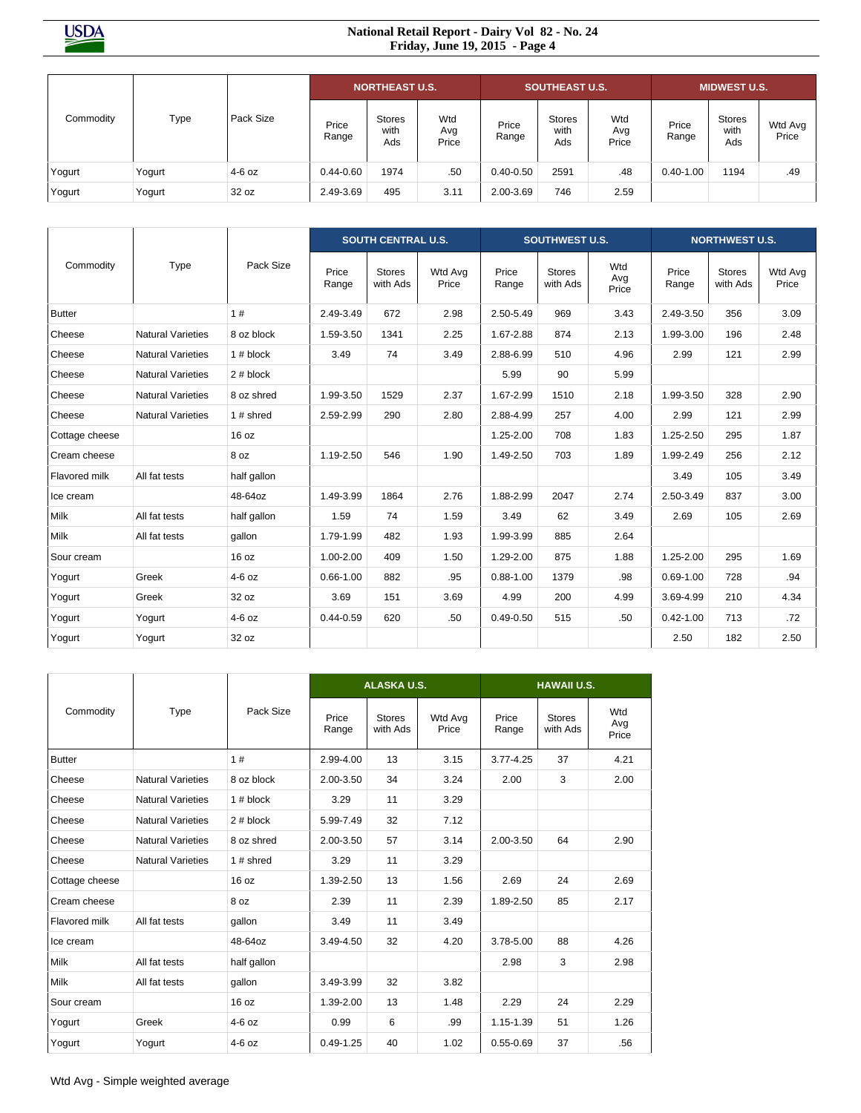**USDA** 

#### **National Retail Report - Dairy Vol 82 - No. 24 Friday, June 19, 2015 - Page 4**

|           |        |           | <b>NORTHEAST U.S.</b> |                              |                     | <b>SOUTHEAST U.S.</b> |                              |                     | <b>MIDWEST U.S.</b> |                              |                  |
|-----------|--------|-----------|-----------------------|------------------------------|---------------------|-----------------------|------------------------------|---------------------|---------------------|------------------------------|------------------|
| Commodity | Type   | Pack Size | Price<br>Range        | <b>Stores</b><br>with<br>Ads | Wtd<br>Avg<br>Price | Price<br>Range        | <b>Stores</b><br>with<br>Ads | Wtd<br>Avg<br>Price | Price<br>Range      | <b>Stores</b><br>with<br>Ads | Wtd Avg<br>Price |
| Yogurt    | Yogurt | $4-6$ oz  | $0.44 - 0.60$         | 1974                         | .50                 | $0.40 - 0.50$         | 2591                         | .48                 | $0.40 - 1.00$       | 1194                         | .49              |
| Yogurt    | Yogurt | 32 oz     | 2.49-3.69             | 495                          | 3.11                | 2.00-3.69             | 746                          | 2.59                |                     |                              |                  |

|                |                          |             |                | <b>SOUTH CENTRAL U.S.</b> |                  |                | <b>SOUTHWEST U.S.</b> |                     | <b>NORTHWEST U.S.</b> |                           |                  |
|----------------|--------------------------|-------------|----------------|---------------------------|------------------|----------------|-----------------------|---------------------|-----------------------|---------------------------|------------------|
| Commodity      | Type                     | Pack Size   | Price<br>Range | <b>Stores</b><br>with Ads | Wtd Avg<br>Price | Price<br>Range | Stores<br>with Ads    | Wtd<br>Avg<br>Price | Price<br>Range        | <b>Stores</b><br>with Ads | Wtd Avg<br>Price |
| <b>Butter</b>  |                          | 1#          | 2.49-3.49      | 672                       | 2.98             | 2.50-5.49      | 969                   | 3.43                | 2.49-3.50             | 356                       | 3.09             |
| Cheese         | <b>Natural Varieties</b> | 8 oz block  | 1.59-3.50      | 1341                      | 2.25             | 1.67-2.88      | 874                   | 2.13                | 1.99-3.00             | 196                       | 2.48             |
| Cheese         | <b>Natural Varieties</b> | $1#$ block  | 3.49           | 74                        | 3.49             | 2.88-6.99      | 510                   | 4.96                | 2.99                  | 121                       | 2.99             |
| Cheese         | <b>Natural Varieties</b> | 2# block    |                |                           |                  | 5.99           | 90                    | 5.99                |                       |                           |                  |
| Cheese         | <b>Natural Varieties</b> | 8 oz shred  | 1.99-3.50      | 1529                      | 2.37             | 1.67-2.99      | 1510                  | 2.18                | 1.99-3.50             | 328                       | 2.90             |
| Cheese         | <b>Natural Varieties</b> | 1# shred    | 2.59-2.99      | 290                       | 2.80             | 2.88-4.99      | 257                   | 4.00                | 2.99                  | 121                       | 2.99             |
| Cottage cheese |                          | 16 oz       |                |                           |                  | 1.25-2.00      | 708                   | 1.83                | 1.25-2.50             | 295                       | 1.87             |
| Cream cheese   |                          | 8 oz        | 1.19-2.50      | 546                       | 1.90             | 1.49-2.50      | 703                   | 1.89                | 1.99-2.49             | 256                       | 2.12             |
| Flavored milk  | All fat tests            | half gallon |                |                           |                  |                |                       |                     | 3.49                  | 105                       | 3.49             |
| Ice cream      |                          | 48-64oz     | 1.49-3.99      | 1864                      | 2.76             | 1.88-2.99      | 2047                  | 2.74                | 2.50-3.49             | 837                       | 3.00             |
| Milk           | All fat tests            | half gallon | 1.59           | 74                        | 1.59             | 3.49           | 62                    | 3.49                | 2.69                  | 105                       | 2.69             |
| Milk           | All fat tests            | qallon      | 1.79-1.99      | 482                       | 1.93             | 1.99-3.99      | 885                   | 2.64                |                       |                           |                  |
| Sour cream     |                          | 16 oz       | 1.00-2.00      | 409                       | 1.50             | 1.29-2.00      | 875                   | 1.88                | 1.25-2.00             | 295                       | 1.69             |
| Yogurt         | Greek                    | $4-6$ oz    | $0.66 - 1.00$  | 882                       | .95              | $0.88 - 1.00$  | 1379                  | .98                 | $0.69 - 1.00$         | 728                       | .94              |
| Yogurt         | Greek                    | 32 oz       | 3.69           | 151                       | 3.69             | 4.99           | 200                   | 4.99                | 3.69-4.99             | 210                       | 4.34             |
| Yogurt         | Yogurt                   | $4-6$ oz    | $0.44 - 0.59$  | 620                       | .50              | $0.49 - 0.50$  | 515                   | .50                 | $0.42 - 1.00$         | 713                       | .72              |
| Yogurt         | Yogurt                   | 32 oz       |                |                           |                  |                |                       |                     | 2.50                  | 182                       | 2.50             |

|                |                          |             |                | <b>ALASKA U.S.</b>        |                  | <b>HAWAII U.S.</b> |                           |                     |  |  |
|----------------|--------------------------|-------------|----------------|---------------------------|------------------|--------------------|---------------------------|---------------------|--|--|
| Commodity      | Type                     | Pack Size   | Price<br>Range | <b>Stores</b><br>with Ads | Wtd Avg<br>Price | Price<br>Range     | <b>Stores</b><br>with Ads | Wtd<br>Avg<br>Price |  |  |
| <b>Butter</b>  |                          | 1#          | 2.99-4.00      | 13                        | 3.15             | $3.77 - 4.25$      | 37                        | 4.21                |  |  |
| Cheese         | <b>Natural Varieties</b> | 8 oz block  | 2.00-3.50      | 34                        | 3.24             | 2.00               | 3                         | 2.00                |  |  |
| Cheese         | <b>Natural Varieties</b> | $1#$ block  | 3.29           | 11                        | 3.29             |                    |                           |                     |  |  |
| Cheese         | <b>Natural Varieties</b> | $2#$ block  | 5.99-7.49      | 32                        | 7.12             |                    |                           |                     |  |  |
| Cheese         | <b>Natural Varieties</b> | 8 oz shred  | 2.00-3.50      | 57                        | 3.14             | 2.00-3.50          | 64                        | 2.90                |  |  |
| Cheese         | <b>Natural Varieties</b> | 1 $#$ shred | 3.29           | 11                        | 3.29             |                    |                           |                     |  |  |
| Cottage cheese |                          | 16 oz       | 1.39-2.50      | 13                        | 1.56             | 2.69               | 24                        | 2.69                |  |  |
| Cream cheese   |                          | 8 oz        | 2.39           | 11                        | 2.39             | 1.89-2.50          | 85                        | 2.17                |  |  |
| Flavored milk  | All fat tests            | qallon      | 3.49           | 11                        | 3.49             |                    |                           |                     |  |  |
| Ice cream      |                          | 48-64oz     | 3.49-4.50      | 32                        | 4.20             | 3.78-5.00          | 88                        | 4.26                |  |  |
| Milk           | All fat tests            | half gallon |                |                           |                  | 2.98               | 3                         | 2.98                |  |  |
| Milk           | All fat tests            | qallon      | 3.49-3.99      | 32                        | 3.82             |                    |                           |                     |  |  |
| Sour cream     |                          | 16 oz       | 1.39-2.00      | 13                        | 1.48             | 2.29               | 24                        | 2.29                |  |  |
| Yogurt         | Greek                    | $4-6$ oz    | 0.99           | 6                         | .99              | 1.15-1.39          | 51                        | 1.26                |  |  |
| Yogurt         | Yogurt                   | $4-6$ oz    | $0.49 - 1.25$  | 40                        | 1.02             | $0.55 - 0.69$      | 37                        | .56                 |  |  |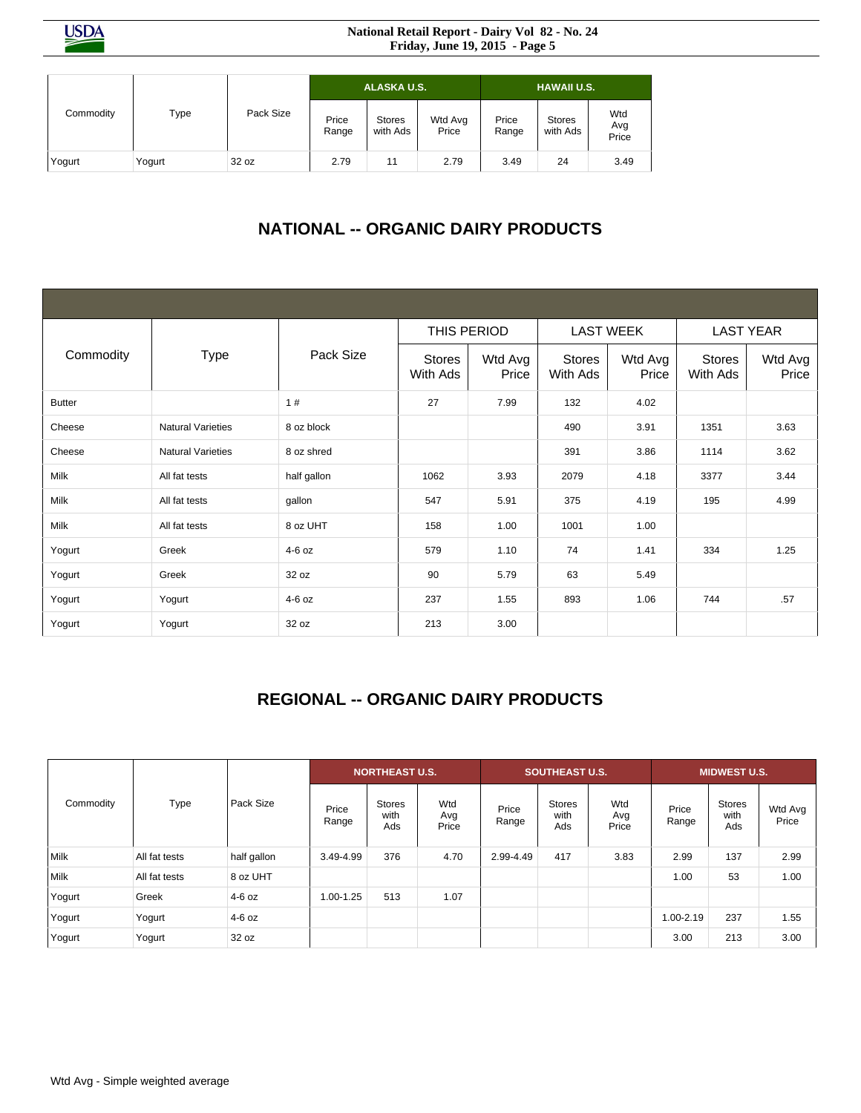**USDA** 

#### **National Retail Report - Dairy Vol 82 - No. 24 Friday, June 19, 2015 - Page 5**

|           |        |           |                | ALASKA U.S.               |                  | <b>HAWAII U.S.</b> |                           |                     |  |
|-----------|--------|-----------|----------------|---------------------------|------------------|--------------------|---------------------------|---------------------|--|
| Commodity | Type   | Pack Size | Price<br>Range | <b>Stores</b><br>with Ads | Wtd Avg<br>Price | Price<br>Range     | <b>Stores</b><br>with Ads | Wtd<br>Avg<br>Price |  |
| Yogurt    | Yogurt | 32 oz     | 2.79           | 11                        | 2.79             | 3.49               | 24                        | 3.49                |  |

# **NATIONAL -- ORGANIC DAIRY PRODUCTS**

|               |                          |             | THIS PERIOD               |                  | <b>LAST WEEK</b>          |                  | <b>LAST YEAR</b>   |                  |  |
|---------------|--------------------------|-------------|---------------------------|------------------|---------------------------|------------------|--------------------|------------------|--|
| Commodity     | <b>Type</b>              | Pack Size   | <b>Stores</b><br>With Ads | Wtd Avg<br>Price | <b>Stores</b><br>With Ads | Wtd Avg<br>Price | Stores<br>With Ads | Wtd Avg<br>Price |  |
| <b>Butter</b> |                          | 1#          | 27                        | 7.99             | 132                       | 4.02             |                    |                  |  |
| Cheese        | <b>Natural Varieties</b> | 8 oz block  |                           |                  | 490                       | 3.91             | 1351               | 3.63             |  |
| Cheese        | <b>Natural Varieties</b> | 8 oz shred  |                           |                  | 391                       | 3.86             | 1114               | 3.62             |  |
| Milk          | All fat tests            | half gallon | 1062                      | 3.93             | 2079                      | 4.18             | 3377               | 3.44             |  |
| Milk          | All fat tests            | gallon      | 547                       | 5.91             | 375                       | 4.19             | 195                | 4.99             |  |
| Milk          | All fat tests            | 8 oz UHT    | 158                       | 1.00             | 1001                      | 1.00             |                    |                  |  |
| Yogurt        | Greek                    | $4-6$ oz    | 579                       | 1.10             | 74                        | 1.41             | 334                | 1.25             |  |
| Yogurt        | Greek                    | 32 oz       | 90                        | 5.79             | 63                        | 5.49             |                    |                  |  |
| Yogurt        | Yogurt                   | 4-6 oz      | 237                       | 1.55             | 893                       | 1.06             | 744                | .57              |  |
| Yogurt        | Yogurt                   | 32 oz       | 213                       | 3.00             |                           |                  |                    |                  |  |

# **REGIONAL -- ORGANIC DAIRY PRODUCTS**

|           |               |             | <b>NORTHEAST U.S.</b> |                              |                     |                | <b>SOUTHEAST U.S.</b>        |                     | <b>MIDWEST U.S.</b> |                              |                  |
|-----------|---------------|-------------|-----------------------|------------------------------|---------------------|----------------|------------------------------|---------------------|---------------------|------------------------------|------------------|
| Commodity | Type          | Pack Size   | Price<br>Range        | <b>Stores</b><br>with<br>Ads | Wtd<br>Avg<br>Price | Price<br>Range | <b>Stores</b><br>with<br>Ads | Wtd<br>Avg<br>Price | Price<br>Range      | <b>Stores</b><br>with<br>Ads | Wtd Avg<br>Price |
| Milk      | All fat tests | half gallon | 3.49-4.99             | 376                          | 4.70                | 2.99-4.49      | 417                          | 3.83                | 2.99                | 137                          | 2.99             |
| Milk      | All fat tests | 8 oz UHT    |                       |                              |                     |                |                              |                     | 1.00                | 53                           | 1.00             |
| Yogurt    | Greek         | $4-6$ oz    | 1.00-1.25             | 513                          | 1.07                |                |                              |                     |                     |                              |                  |
| Yogurt    | Yogurt        | $4-6$ oz    |                       |                              |                     |                |                              |                     | 1.00-2.19           | 237                          | 1.55             |
| Yogurt    | Yogurt        | 32 oz       |                       |                              |                     |                |                              |                     | 3.00                | 213                          | 3.00             |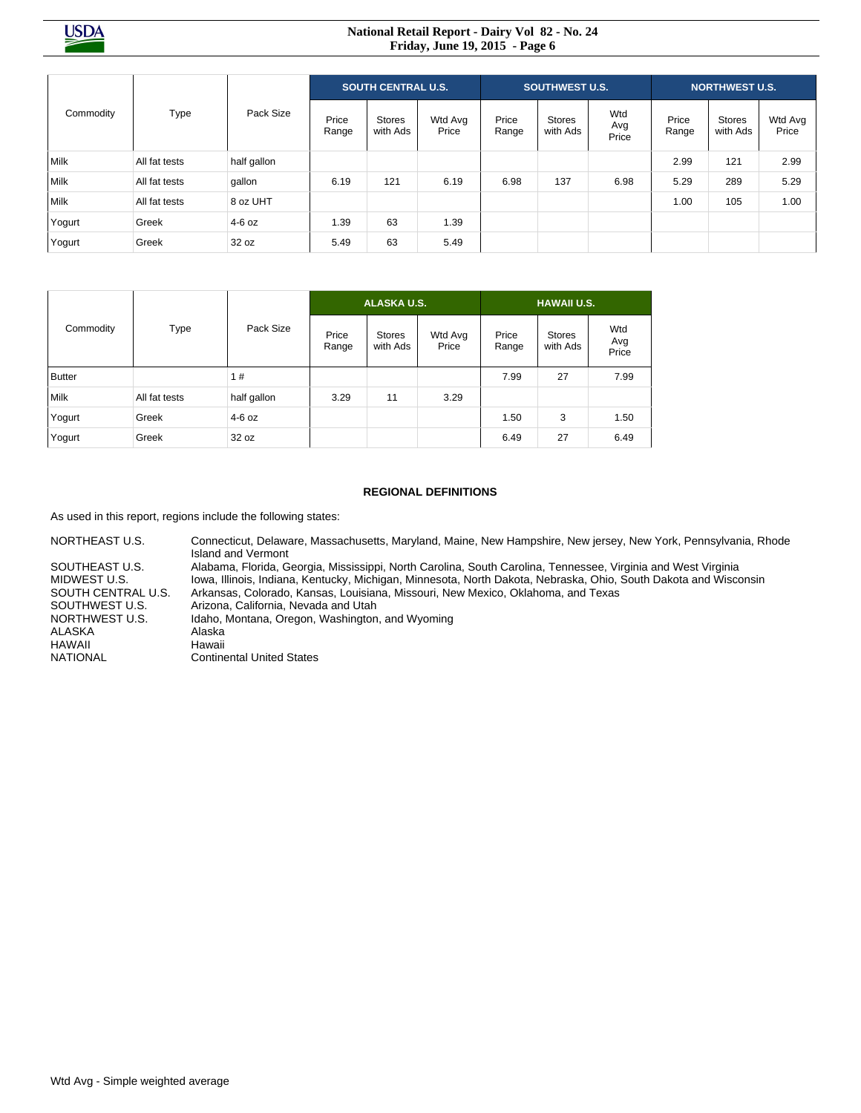#### **National Retail Report - Dairy Vol 82 - No. 24 Friday, June 19, 2015 - Page 6**

| Commodity   | Type          | Pack Size   | <b>SOUTH CENTRAL U.S.</b> |                           |                  | <b>SOUTHWEST U.S.</b> |                    |                     | <b>NORTHWEST U.S.</b> |                           |                  |
|-------------|---------------|-------------|---------------------------|---------------------------|------------------|-----------------------|--------------------|---------------------|-----------------------|---------------------------|------------------|
|             |               |             | Price<br>Range            | <b>Stores</b><br>with Ads | Wtd Avg<br>Price | Price<br>Range        | Stores<br>with Ads | Wtd<br>Avg<br>Price | Price<br>Range        | <b>Stores</b><br>with Ads | Wtd Avg<br>Price |
| Milk        | All fat tests | half gallon |                           |                           |                  |                       |                    |                     | 2.99                  | 121                       | 2.99             |
| <b>Milk</b> | All fat tests | gallon      | 6.19                      | 121                       | 6.19             | 6.98                  | 137                | 6.98                | 5.29                  | 289                       | 5.29             |
| Milk        | All fat tests | 8 oz UHT    |                           |                           |                  |                       |                    |                     | 1.00                  | 105                       | 1.00             |
| Yogurt      | Greek         | $4-6$ oz    | 1.39                      | 63                        | 1.39             |                       |                    |                     |                       |                           |                  |
| Yogurt      | Greek         | 32 oz       | 5.49                      | 63                        | 5.49             |                       |                    |                     |                       |                           |                  |

|               |               |             |                | <b>ALASKA U.S.</b>        |                  | <b>HAWAII U.S.</b> |                    |                     |  |  |
|---------------|---------------|-------------|----------------|---------------------------|------------------|--------------------|--------------------|---------------------|--|--|
| Commodity     | Type          | Pack Size   | Price<br>Range | <b>Stores</b><br>with Ads | Wtd Avg<br>Price | Price<br>Range     | Stores<br>with Ads | Wtd<br>Avg<br>Price |  |  |
| <b>Butter</b> |               | 1#          |                |                           |                  | 7.99               | 27                 | 7.99                |  |  |
| Milk          | All fat tests | half gallon | 3.29           | 11                        | 3.29             |                    |                    |                     |  |  |
| Yogurt        | Greek         | $4-6$ oz    |                |                           |                  | 1.50               | 3                  | 1.50                |  |  |
| Yogurt        | Greek         | 32 oz       |                |                           |                  | 6.49               | 27                 | 6.49                |  |  |

#### **REGIONAL DEFINITIONS**

As used in this report, regions include the following states:

NORTHEAST U.S. Connecticut, Delaware, Massachusetts, Maryland, Maine, New Hampshire, New jersey, New York, Pennsylvania, Rhode Island and Vermont SOUTHEAST U.S. Alabama, Florida, Georgia, Mississippi, North Carolina, South Carolina, Tennessee, Virginia and West Virginia<br>MIDWEST U.S. MILIMORA, Illinois, Indiana, Kentucky, Michigan, Minnesota, North Dakota, Nebraska, Iowa, Illinois, Indiana, Kentucky, Michigan, Minnesota, North Dakota, Nebraska, Ohio, South Dakota and Wisconsin SOUTH CENTRAL U.S. Arkansas, Colorado, Kansas, Louisiana, Missouri, New Mexico, Oklahoma, and Texas<br>SOUTHWEST U.S. <br> Arizona, California, Nevada and Utah NORTHWEST U.S. Idaho, Montana, Oregon, Washington, and Wyoming<br>ALASKA Alaska ALASKA Alaska<br>HAWAII Hawaii HAWAII<br>NATIONAL **Continental United States**